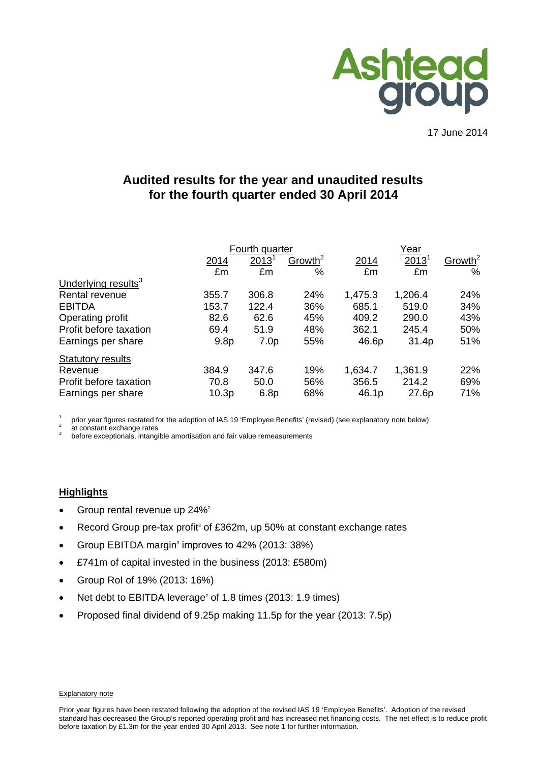

17 June 2014

# **Audited results for the year and unaudited results for the fourth quarter ended 30 April 2014**

|                                 |                  | Fourth quarter   |                     | Year    |          |                     |  |
|---------------------------------|------------------|------------------|---------------------|---------|----------|---------------------|--|
|                                 | 2014             | $2013^1$         | Growth <sup>2</sup> | 2014    | $2013^1$ | Growth <sup>2</sup> |  |
|                                 | £m               | £m               | %                   | £m      | £m       | %                   |  |
| Underlying results <sup>3</sup> |                  |                  |                     |         |          |                     |  |
| Rental revenue                  | 355.7            | 306.8            | 24%                 | 1,475.3 | 1,206.4  | 24%                 |  |
| <b>EBITDA</b>                   | 153.7            | 122.4            | 36%                 | 685.1   | 519.0    | 34%                 |  |
| Operating profit                | 82.6             | 62.6             | 45%                 | 409.2   | 290.0    | 43%                 |  |
| Profit before taxation          | 69.4             | 51.9             | 48%                 | 362.1   | 245.4    | 50%                 |  |
| Earnings per share              | 9.8 <sub>p</sub> | 7.0 <sub>p</sub> | 55%                 | 46.6p   | 31.4p    | 51%                 |  |
| <b>Statutory results</b>        |                  |                  |                     |         |          |                     |  |
| Revenue                         | 384.9            | 347.6            | 19%                 | 1,634.7 | 1,361.9  | 22%                 |  |
| Profit before taxation          | 70.8             | 50.0             | 56%                 | 356.5   | 214.2    | 69%                 |  |
| Earnings per share              | 10.3p            | 6.8p             | 68%                 | 46.1p   | 27.6p    | 71%                 |  |

1 prior year figures restated for the adoption of IAS 19 'Employee Benefits' (revised) (see explanatory note below)  $\frac{2}{3}$  before exceptionals, intangible amortisation and fair value remeasurements

#### **Highlights**

- Group rental revenue up 24%<sup>2</sup>
- Record Group pre-tax profit<sup>3</sup> of £362m, up 50% at constant exchange rates
- Group EBITDA margin<sup>3</sup> improves to  $42\%$  (2013: 38%)
- £741m of capital invested in the business (2013: £580m)
- Group RoI of 19% (2013: 16%)
- Net debt to EBITDA leverage<sup>2</sup> of 1.8 times (2013: 1.9 times)
- Proposed final dividend of 9.25p making 11.5p for the year (2013: 7.5p)

#### Explanatory note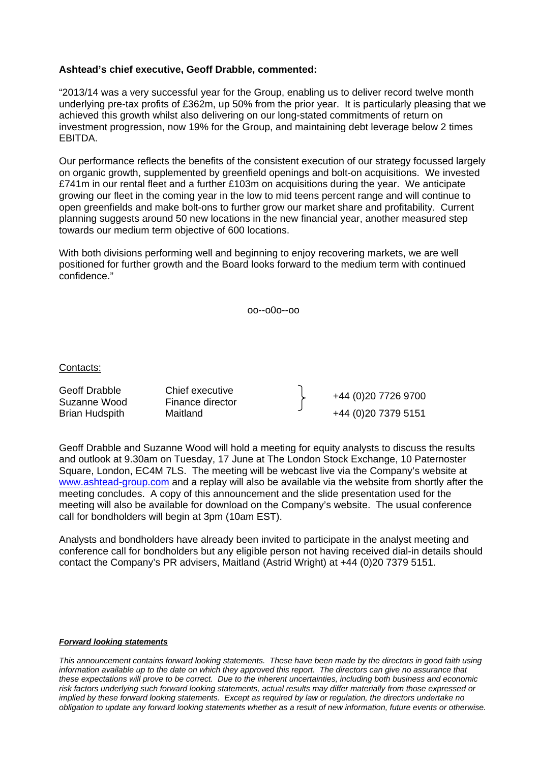# **Ashtead's chief executive, Geoff Drabble, commented:**

"2013/14 was a very successful year for the Group, enabling us to deliver record twelve month underlying pre-tax profits of £362m, up 50% from the prior year. It is particularly pleasing that we achieved this growth whilst also delivering on our long-stated commitments of return on investment progression, now 19% for the Group, and maintaining debt leverage below 2 times EBITDA.

Our performance reflects the benefits of the consistent execution of our strategy focussed largely on organic growth, supplemented by greenfield openings and bolt-on acquisitions. We invested £741m in our rental fleet and a further £103m on acquisitions during the year. We anticipate growing our fleet in the coming year in the low to mid teens percent range and will continue to open greenfields and make bolt-ons to further grow our market share and profitability. Current planning suggests around 50 new locations in the new financial year, another measured step towards our medium term objective of 600 locations.

With both divisions performing well and beginning to enjoy recovering markets, we are well positioned for further growth and the Board looks forward to the medium term with continued confidence."

oo--o0o--oo

Contacts:

Geoff Drabble Chief executive<br>
Suzanne Wood Finance director<br>
Finance director Brian Hudspith Maitland +44 (0)20 7379 5151

Geoff Drabble and Suzanne Wood will hold a meeting for equity analysts to discuss the results and outlook at 9.30am on Tuesday, 17 June at The London Stock Exchange, 10 Paternoster Square, London, EC4M 7LS. The meeting will be webcast live via the Company's website at www.ashtead-group.com and a replay will also be available via the website from shortly after the meeting concludes. A copy of this announcement and the slide presentation used for the meeting will also be available for download on the Company's website. The usual conference call for bondholders will begin at 3pm (10am EST).

Analysts and bondholders have already been invited to participate in the analyst meeting and conference call for bondholders but any eligible person not having received dial-in details should contact the Company's PR advisers, Maitland (Astrid Wright) at +44 (0)20 7379 5151.

#### *Forward looking statements*

*This announcement contains forward looking statements. These have been made by the directors in good faith using*  information available up to the date on which they approved this report. The directors can give no assurance that *these expectations will prove to be correct. Due to the inherent uncertainties, including both business and economic risk factors underlying such forward looking statements, actual results may differ materially from those expressed or implied by these forward looking statements. Except as required by law or regulation, the directors undertake no obligation to update any forward looking statements whether as a result of new information, future events or otherwise.*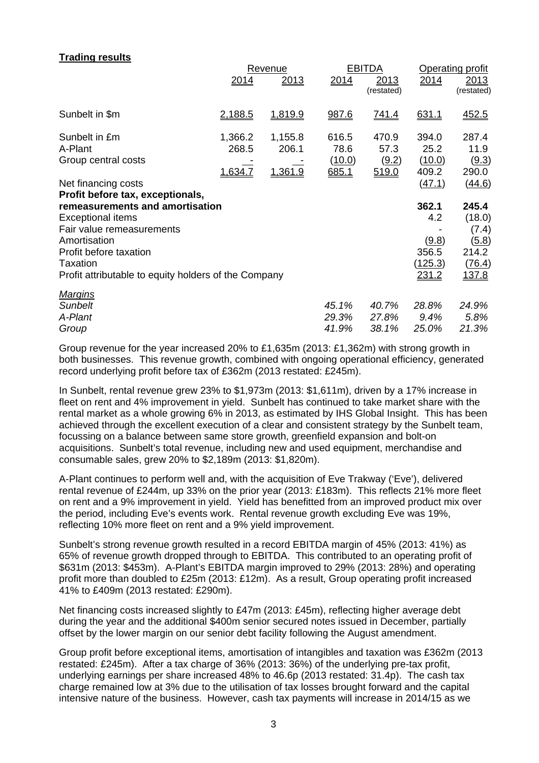# **Trading results**  Revenue **EBITDA** Operating profit 2014 2013 2014 2013 2014 2013 (restated) (restated) Sunbelt in \$m 2,188.5 1,819.9 987.6 741.4 631.1 452.5 Sunbelt in £m 1,366.2 1,155.8 616.5 470.9 394.0 287.4 A-Plant 268.5 206.1 78.6 57.3 25.2 11.9 Group central costs  $\qquad \qquad \qquad \qquad$   $\qquad \qquad$   $\qquad \qquad$   $\qquad \qquad$   $\qquad \qquad$   $\qquad \qquad$   $\qquad \qquad$   $\qquad \qquad$   $\qquad \qquad$   $\qquad \qquad$   $\qquad \qquad$   $\qquad \qquad$   $\qquad \qquad$   $\qquad \qquad$   $\qquad \qquad$   $\qquad \qquad$   $\qquad \qquad$   $\qquad \qquad$   $\qquad \qquad$   $\qquad \qquad$   $\qquad \qquad$   $\q$  1,634.7 1,361.9 685.1 519.0 409.2 290.0 Net financing costs (47.1) (44.6) **Profit before tax, exceptionals, remeasurements and amortisation 362.1 245.4** Exceptional items 4.2 (18.0) Fair value remeasurements - (7.4) Amortisation  $(9.8)$   $(5.8)$ Profit before taxation 356.5 214.2 Taxation (125.3) (76.4) Profit attributable to equity holders of the Company 231.2 137.8 *Margins Sunbelt 45.1% 40.7% 28.8% 24.9% A-Plant 29.3% 27.8% 9.4% 5.8% Group 41.9% 38.1% 25.0% 21.3%*

Group revenue for the year increased 20% to £1,635m (2013: £1,362m) with strong growth in both businesses. This revenue growth, combined with ongoing operational efficiency, generated record underlying profit before tax of £362m (2013 restated: £245m).

In Sunbelt, rental revenue grew 23% to \$1,973m (2013: \$1,611m), driven by a 17% increase in fleet on rent and 4% improvement in yield. Sunbelt has continued to take market share with the rental market as a whole growing 6% in 2013, as estimated by IHS Global Insight. This has been achieved through the excellent execution of a clear and consistent strategy by the Sunbelt team, focussing on a balance between same store growth, greenfield expansion and bolt-on acquisitions. Sunbelt's total revenue, including new and used equipment, merchandise and consumable sales, grew 20% to \$2,189m (2013: \$1,820m).

A-Plant continues to perform well and, with the acquisition of Eve Trakway ('Eve'), delivered rental revenue of £244m, up 33% on the prior year (2013: £183m). This reflects 21% more fleet on rent and a 9% improvement in yield. Yield has benefitted from an improved product mix over the period, including Eve's events work. Rental revenue growth excluding Eve was 19%, reflecting 10% more fleet on rent and a 9% yield improvement.

Sunbelt's strong revenue growth resulted in a record EBITDA margin of 45% (2013: 41%) as 65% of revenue growth dropped through to EBITDA. This contributed to an operating profit of \$631m (2013: \$453m). A-Plant's EBITDA margin improved to 29% (2013: 28%) and operating profit more than doubled to £25m (2013: £12m). As a result, Group operating profit increased 41% to £409m (2013 restated: £290m).

Net financing costs increased slightly to £47m (2013: £45m), reflecting higher average debt during the year and the additional \$400m senior secured notes issued in December, partially offset by the lower margin on our senior debt facility following the August amendment.

Group profit before exceptional items, amortisation of intangibles and taxation was £362m (2013 restated: £245m). After a tax charge of 36% (2013: 36%) of the underlying pre-tax profit, underlying earnings per share increased 48% to 46.6p (2013 restated: 31.4p). The cash tax charge remained low at 3% due to the utilisation of tax losses brought forward and the capital intensive nature of the business. However, cash tax payments will increase in 2014/15 as we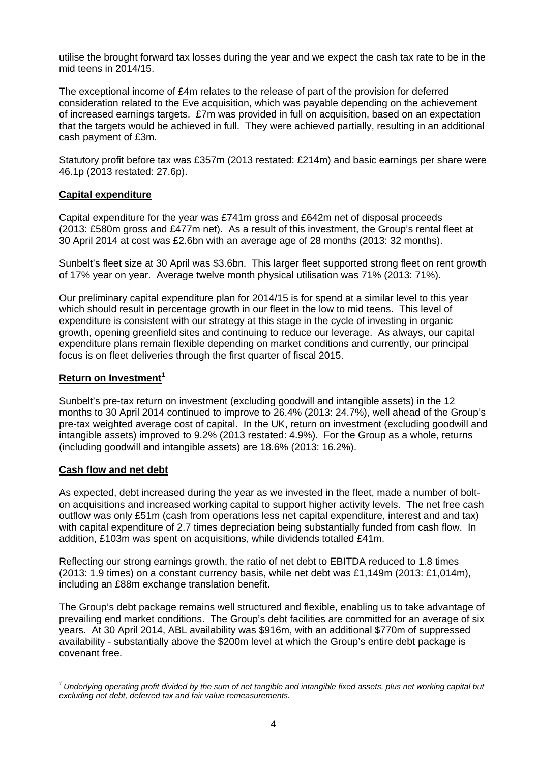utilise the brought forward tax losses during the year and we expect the cash tax rate to be in the mid teens in 2014/15.

The exceptional income of £4m relates to the release of part of the provision for deferred consideration related to the Eve acquisition, which was payable depending on the achievement of increased earnings targets. £7m was provided in full on acquisition, based on an expectation that the targets would be achieved in full. They were achieved partially, resulting in an additional cash payment of £3m.

Statutory profit before tax was £357m (2013 restated: £214m) and basic earnings per share were 46.1p (2013 restated: 27.6p).

### **Capital expenditure**

Capital expenditure for the year was £741m gross and £642m net of disposal proceeds (2013: £580m gross and £477m net). As a result of this investment, the Group's rental fleet at 30 April 2014 at cost was £2.6bn with an average age of 28 months (2013: 32 months).

Sunbelt's fleet size at 30 April was \$3.6bn. This larger fleet supported strong fleet on rent growth of 17% year on year. Average twelve month physical utilisation was 71% (2013: 71%).

Our preliminary capital expenditure plan for 2014/15 is for spend at a similar level to this year which should result in percentage growth in our fleet in the low to mid teens. This level of expenditure is consistent with our strategy at this stage in the cycle of investing in organic growth, opening greenfield sites and continuing to reduce our leverage. As always, our capital expenditure plans remain flexible depending on market conditions and currently, our principal focus is on fleet deliveries through the first quarter of fiscal 2015.

### **Return on Investment<sup>1</sup>**

Sunbelt's pre-tax return on investment (excluding goodwill and intangible assets) in the 12 months to 30 April 2014 continued to improve to 26.4% (2013: 24.7%), well ahead of the Group's pre-tax weighted average cost of capital. In the UK, return on investment (excluding goodwill and intangible assets) improved to 9.2% (2013 restated: 4.9%). For the Group as a whole, returns (including goodwill and intangible assets) are 18.6% (2013: 16.2%).

#### **Cash flow and net debt**

As expected, debt increased during the year as we invested in the fleet, made a number of bolton acquisitions and increased working capital to support higher activity levels. The net free cash outflow was only £51m (cash from operations less net capital expenditure, interest and and tax) with capital expenditure of 2.7 times depreciation being substantially funded from cash flow. In addition, £103m was spent on acquisitions, while dividends totalled £41m.

Reflecting our strong earnings growth, the ratio of net debt to EBITDA reduced to 1.8 times (2013: 1.9 times) on a constant currency basis, while net debt was £1,149m (2013: £1,014m), including an £88m exchange translation benefit.

The Group's debt package remains well structured and flexible, enabling us to take advantage of prevailing end market conditions. The Group's debt facilities are committed for an average of six years. At 30 April 2014, ABL availability was \$916m, with an additional \$770m of suppressed availability - substantially above the \$200m level at which the Group's entire debt package is covenant free.

*<sup>1</sup> Underlying operating profit divided by the sum of net tangible and intangible fixed assets, plus net working capital but excluding net debt, deferred tax and fair value remeasurements.*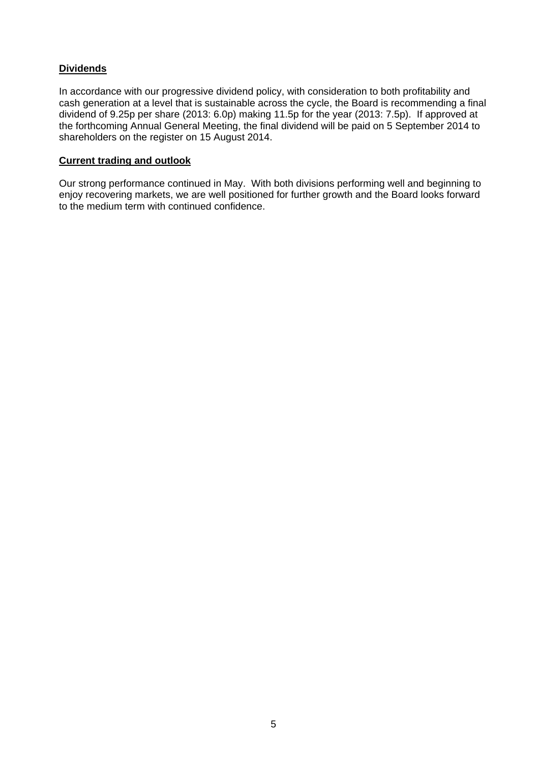# **Dividends**

In accordance with our progressive dividend policy, with consideration to both profitability and cash generation at a level that is sustainable across the cycle, the Board is recommending a final dividend of 9.25p per share (2013: 6.0p) making 11.5p for the year (2013: 7.5p). If approved at the forthcoming Annual General Meeting, the final dividend will be paid on 5 September 2014 to shareholders on the register on 15 August 2014.

# **Current trading and outlook**

Our strong performance continued in May. With both divisions performing well and beginning to enjoy recovering markets, we are well positioned for further growth and the Board looks forward to the medium term with continued confidence.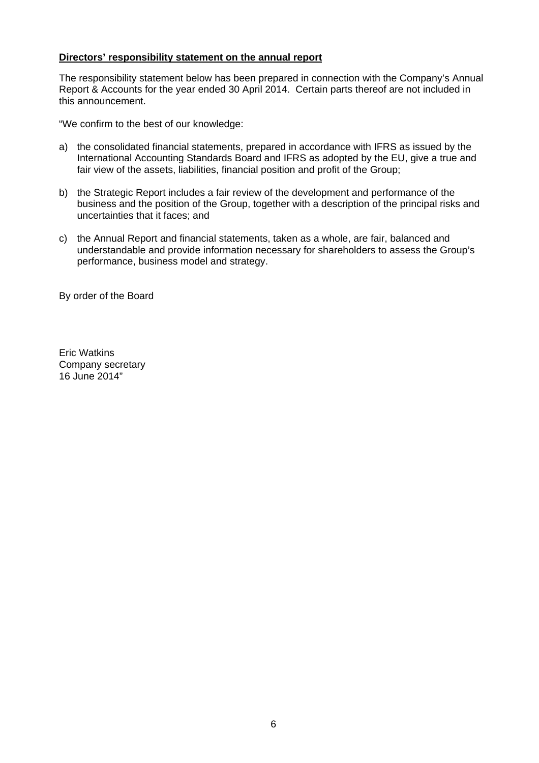# **Directors' responsibility statement on the annual report**

The responsibility statement below has been prepared in connection with the Company's Annual Report & Accounts for the year ended 30 April 2014. Certain parts thereof are not included in this announcement.

"We confirm to the best of our knowledge:

- a) the consolidated financial statements, prepared in accordance with IFRS as issued by the International Accounting Standards Board and IFRS as adopted by the EU, give a true and fair view of the assets, liabilities, financial position and profit of the Group;
- b) the Strategic Report includes a fair review of the development and performance of the business and the position of the Group, together with a description of the principal risks and uncertainties that it faces; and
- c) the Annual Report and financial statements, taken as a whole, are fair, balanced and understandable and provide information necessary for shareholders to assess the Group's performance, business model and strategy.

By order of the Board

Eric Watkins Company secretary 16 June 2014"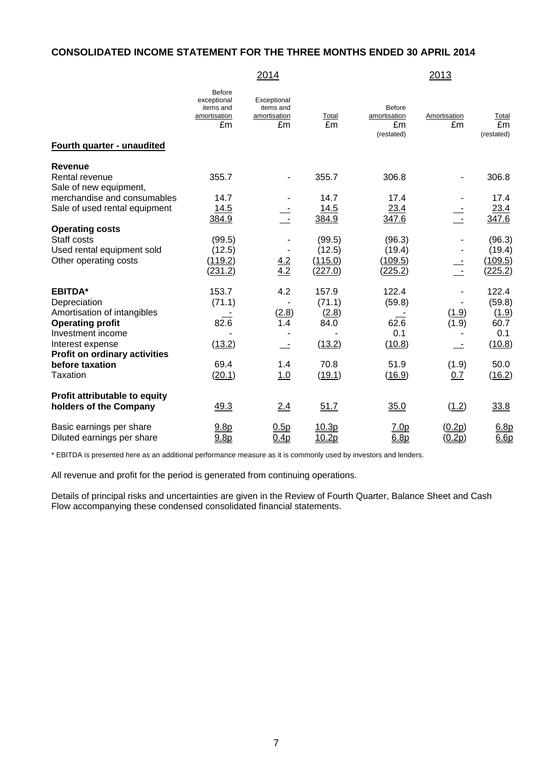### **CONSOLIDATED INCOME STATEMENT FOR THE THREE MONTHS ENDED 30 APRIL 2014**

# 2014 2013

Before

| Fourth quarter - unaudited           | DUIVIO<br>exceptional<br>items and<br>amortisation<br>£m | Exceptional<br>items and<br>amortisation<br>£m | Total<br>£m   | <b>Before</b><br>amortisation<br>£m<br>(restated) | Amortisation<br>£m | Total<br>£m<br>(restated) |
|--------------------------------------|----------------------------------------------------------|------------------------------------------------|---------------|---------------------------------------------------|--------------------|---------------------------|
|                                      |                                                          |                                                |               |                                                   |                    |                           |
| <b>Revenue</b>                       |                                                          |                                                |               |                                                   |                    |                           |
| Rental revenue                       | 355.7                                                    |                                                | 355.7         | 306.8                                             |                    | 306.8                     |
| Sale of new equipment,               |                                                          |                                                |               |                                                   |                    |                           |
| merchandise and consumables          | 14.7                                                     |                                                | 14.7          | 17.4                                              |                    | 17.4                      |
| Sale of used rental equipment        | 14.5<br>384.9                                            |                                                | 14.5<br>384.9 | 23.4<br>347.6                                     | ÷                  | 23.4<br>347.6             |
| <b>Operating costs</b>               |                                                          |                                                |               |                                                   |                    |                           |
| Staff costs                          | (99.5)                                                   |                                                | (99.5)        | (96.3)                                            |                    | (96.3)                    |
| Used rental equipment sold           | (12.5)                                                   |                                                | (12.5)        | (19.4)                                            |                    | (19.4)                    |
| Other operating costs                | (119.2)                                                  |                                                | (115.0)       | (109.5)                                           |                    | (109.5)                   |
|                                      | (231.2)                                                  | $\frac{4.2}{4.2}$                              | (227.0)       | (225.2)                                           |                    | (225.2)                   |
| <b>EBITDA*</b>                       | 153.7                                                    | 4.2                                            | 157.9         | 122.4                                             |                    | 122.4                     |
| Depreciation                         | (71.1)                                                   |                                                | (71.1)        | (59.8)                                            |                    | (59.8)                    |
| Amortisation of intangibles          |                                                          | (2.8)                                          | (2.8)         |                                                   | (1.9)              | (1.9)                     |
| <b>Operating profit</b>              | 82.6                                                     | 1.4                                            | 84.0          | 62.6                                              | (1.9)              | 60.7                      |
| Investment income                    |                                                          |                                                |               | 0.1                                               |                    | 0.1                       |
| Interest expense                     | (13.2)                                                   |                                                | (13.2)        | (10.8)                                            |                    | (10.8)                    |
| <b>Profit on ordinary activities</b> |                                                          |                                                |               |                                                   |                    |                           |
| before taxation                      | 69.4                                                     | 1.4                                            | 70.8          | 51.9                                              | (1.9)              | 50.0                      |
| <b>Taxation</b>                      | (20.1)                                                   | 1.0                                            | (19.1)        | (16.9)                                            | 0.7                | (16.2)                    |
| Profit attributable to equity        |                                                          |                                                |               |                                                   |                    |                           |
| holders of the Company               | 49.3                                                     | 2.4                                            | 51.7          | 35.0                                              | (1.2)              | 33.8                      |
| Basic earnings per share             | 9.8p                                                     | 0.5p                                           | 10.3p         | 7.0p                                              | (0.2p)             | 6.8p                      |
| Diluted earnings per share           | 9.8 <sub>p</sub>                                         | 0.4p                                           | 10.2p         | 6.8p                                              | (0.2p)             | 6.6p                      |

\* EBITDA is presented here as an additional performance measure as it is commonly used by investors and lenders.

All revenue and profit for the period is generated from continuing operations.

Details of principal risks and uncertainties are given in the Review of Fourth Quarter, Balance Sheet and Cash Flow accompanying these condensed consolidated financial statements.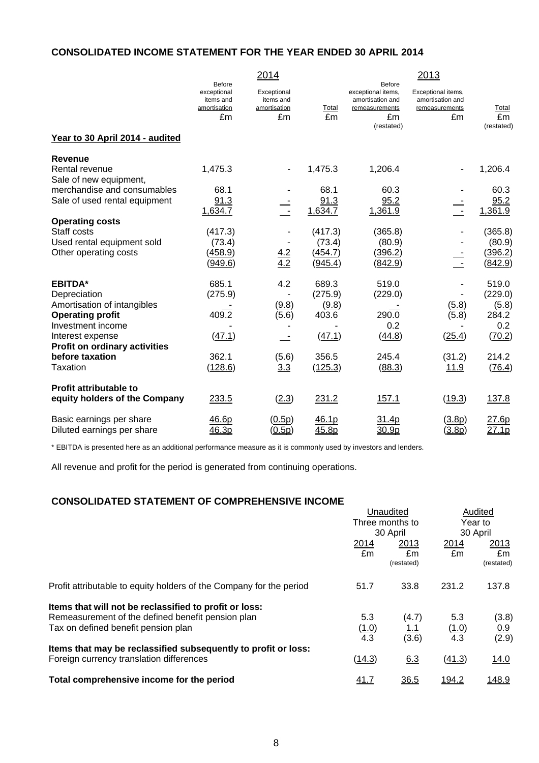# **CONSOLIDATED INCOME STATEMENT FOR THE YEAR ENDED 30 APRIL 2014**

|                                          |                                                                 | 2014                                           |             |                                                                                               | 2013                                                           |                           |
|------------------------------------------|-----------------------------------------------------------------|------------------------------------------------|-------------|-----------------------------------------------------------------------------------------------|----------------------------------------------------------------|---------------------------|
|                                          | <b>Before</b><br>exceptional<br>items and<br>amortisation<br>£m | Exceptional<br>items and<br>amortisation<br>£m | Total<br>£m | <b>Before</b><br>exceptional items,<br>amortisation and<br>remeasurements<br>£m<br>(restated) | Exceptional items,<br>amortisation and<br>remeasurements<br>£m | Total<br>£m<br>(restated) |
| Year to 30 April 2014 - audited          |                                                                 |                                                |             |                                                                                               |                                                                |                           |
| <b>Revenue</b>                           |                                                                 |                                                |             |                                                                                               |                                                                |                           |
| Rental revenue<br>Sale of new equipment, | 1,475.3                                                         |                                                | 1,475.3     | 1,206.4                                                                                       |                                                                | 1,206.4                   |
| merchandise and consumables              | 68.1                                                            |                                                | 68.1        | 60.3                                                                                          |                                                                | 60.3                      |
| Sale of used rental equipment            | 91.3                                                            |                                                | 91.3        | 95.2                                                                                          |                                                                | 95.2                      |
|                                          | 1,634.7                                                         | $\equiv$                                       | 1,634.7     | 1,361.9                                                                                       | $\frac{1}{\sqrt{2}}$                                           | 1,361.9                   |
| <b>Operating costs</b>                   |                                                                 |                                                |             |                                                                                               |                                                                |                           |
| Staff costs                              | (417.3)                                                         |                                                | (417.3)     | (365.8)                                                                                       |                                                                | (365.8)                   |
| Used rental equipment sold               | (73.4)                                                          |                                                | (73.4)      | (80.9)                                                                                        |                                                                | (80.9)                    |
| Other operating costs                    | (458.9)                                                         |                                                | (454.7)     | (396.2)                                                                                       |                                                                | (396.2)                   |
|                                          | (949.6)                                                         | $\frac{4.2}{4.2}$                              | (945.4)     | (842.9)                                                                                       | $\sim$ $-$                                                     | (842.9)                   |
| <b>EBITDA*</b>                           | 685.1                                                           | 4.2                                            | 689.3       | 519.0                                                                                         |                                                                | 519.0                     |
| Depreciation                             | (275.9)                                                         |                                                | (275.9)     | (229.0)                                                                                       |                                                                | (229.0)                   |
| Amortisation of intangibles              |                                                                 | (9.8)                                          | (9.8)       |                                                                                               | (5.8)                                                          | (5.8)                     |
| <b>Operating profit</b>                  | 409.2                                                           | (5.6)                                          | 403.6       | 290.0                                                                                         | (5.8)                                                          | 284.2                     |
| Investment income                        |                                                                 |                                                |             | 0.2                                                                                           |                                                                | 0.2                       |
| Interest expense                         | (47.1)                                                          | $\overline{\phantom{a}}$                       | (47.1)      | (44.8)                                                                                        | (25.4)                                                         | (70.2)                    |
| <b>Profit on ordinary activities</b>     |                                                                 |                                                |             |                                                                                               |                                                                |                           |
| before taxation                          | 362.1                                                           | (5.6)                                          | 356.5       | 245.4                                                                                         | (31.2)                                                         | 214.2                     |
| <b>Taxation</b>                          | (128.6)                                                         | 3.3                                            | (125.3)     | (88.3)                                                                                        | 11.9                                                           | (76.4)                    |
| <b>Profit attributable to</b>            |                                                                 |                                                |             |                                                                                               |                                                                |                           |
| equity holders of the Company            | 233.5                                                           | (2.3)                                          | 231.2       | 157.1                                                                                         | (19.3)                                                         | 137.8                     |
| Basic earnings per share                 | 46.6p                                                           | (0.5p)                                         | 46.1p       | 31.4p                                                                                         | (3.8p)                                                         | 27.6p                     |
| Diluted earnings per share               | 46.3p                                                           | (0.5p)                                         | 45.8p       | 30.9p                                                                                         | (3.8p)                                                         | 27.1p                     |

\* EBITDA is presented here as an additional performance measure as it is commonly used by investors and lenders.

All revenue and profit for the period is generated from continuing operations.

# **CONSOLIDATED STATEMENT OF COMPREHENSIVE INCOME**

| <u>CONSOLIDATED STATEMENT OF COMFRENENSIVE INCOME</u>               |           |                  |              |                  |
|---------------------------------------------------------------------|-----------|------------------|--------------|------------------|
|                                                                     | Unaudited |                  | Audited      |                  |
|                                                                     |           | Three months to  |              | Year to          |
|                                                                     |           | 30 April         | 30 April     |                  |
|                                                                     | 2014      | 2013             | 2014         | 2013             |
|                                                                     | £m        | £m<br>(restated) | £m           | £m<br>(restated) |
| Profit attributable to equity holders of the Company for the period | 51.7      | 33.8             | 231.2        | 137.8            |
| Items that will not be reclassified to profit or loss:              |           |                  |              |                  |
| Remeasurement of the defined benefit pension plan                   | 5.3       | (4.7)            | 5.3          | (3.8)            |
| Tax on defined benefit pension plan                                 | (1.0)     | <u>1.1</u>       | (1.0)        | 0.9              |
|                                                                     | 4.3       | (3.6)            | 4.3          | (2.9)            |
| Items that may be reclassified subsequently to profit or loss:      |           |                  |              |                  |
| Foreign currency translation differences                            | (14.3)    | 6.3              | (41.3)       | 14.0             |
| Total comprehensive income for the period                           | 41.7      | 36.5             | <u>194.2</u> | 148.9            |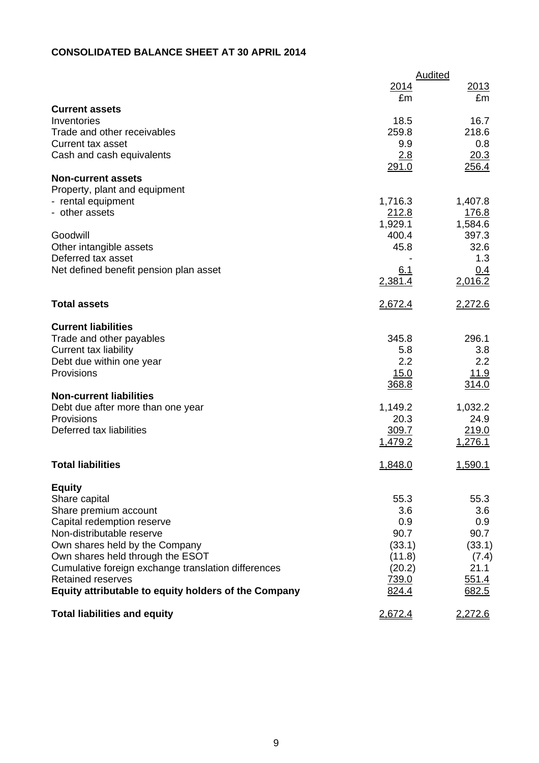# **CONSOLIDATED BALANCE SHEET AT 30 APRIL 2014**

|                                                      | <b>Audited</b> |             |  |  |
|------------------------------------------------------|----------------|-------------|--|--|
|                                                      | <u>2014</u>    | 2013        |  |  |
|                                                      | £m             | £m          |  |  |
| <b>Current assets</b>                                |                |             |  |  |
| Inventories                                          | 18.5           | 16.7        |  |  |
| Trade and other receivables                          | 259.8          | 218.6       |  |  |
| <b>Current tax asset</b>                             | 9.9            | 0.8         |  |  |
| Cash and cash equivalents                            | 2.8            | 20.3        |  |  |
|                                                      | 291.0          | 256.4       |  |  |
| <b>Non-current assets</b>                            |                |             |  |  |
| Property, plant and equipment                        |                |             |  |  |
| - rental equipment                                   | 1,716.3        | 1,407.8     |  |  |
| - other assets                                       | 212.8          | 176.8       |  |  |
|                                                      | 1,929.1        | 1,584.6     |  |  |
| Goodwill                                             | 400.4          | 397.3       |  |  |
| Other intangible assets                              | 45.8           | 32.6        |  |  |
| Deferred tax asset                                   |                | 1.3         |  |  |
| Net defined benefit pension plan asset               | 6.1            | 0.4         |  |  |
|                                                      | 2,381.4        | 2,016.2     |  |  |
| <b>Total assets</b>                                  | <u>2,672.4</u> | 2,272.6     |  |  |
| <b>Current liabilities</b>                           |                |             |  |  |
| Trade and other payables                             | 345.8          | 296.1       |  |  |
| <b>Current tax liability</b>                         | 5.8            | 3.8         |  |  |
| Debt due within one year                             | 2.2            | 2.2         |  |  |
| Provisions                                           | 15.0           | <u>11.9</u> |  |  |
|                                                      | 368.8          | 314.0       |  |  |
| <b>Non-current liabilities</b>                       |                |             |  |  |
| Debt due after more than one year                    | 1,149.2        | 1,032.2     |  |  |
| Provisions                                           | 20.3           | 24.9        |  |  |
| Deferred tax liabilities                             | 309.7          | 219.0       |  |  |
|                                                      | 1,479.2        | 1,276.1     |  |  |
| <b>Total liabilities</b>                             | 1,848.0        | 1,590.1     |  |  |
|                                                      |                |             |  |  |
| <b>Equity</b><br>Share capital                       | 55.3           | 55.3        |  |  |
| Share premium account                                | 3.6            | 3.6         |  |  |
| Capital redemption reserve                           | 0.9            | 0.9         |  |  |
| Non-distributable reserve                            | 90.7           | 90.7        |  |  |
| Own shares held by the Company                       | (33.1)         | (33.1)      |  |  |
| Own shares held through the ESOT                     | (11.8)         | (7.4)       |  |  |
| Cumulative foreign exchange translation differences  | (20.2)         | 21.1        |  |  |
| <b>Retained reserves</b>                             | 739.0          | 551.4       |  |  |
| Equity attributable to equity holders of the Company | 824.4          | 682.5       |  |  |
|                                                      |                |             |  |  |
| <b>Total liabilities and equity</b>                  | 2,672.4        | 2,272.6     |  |  |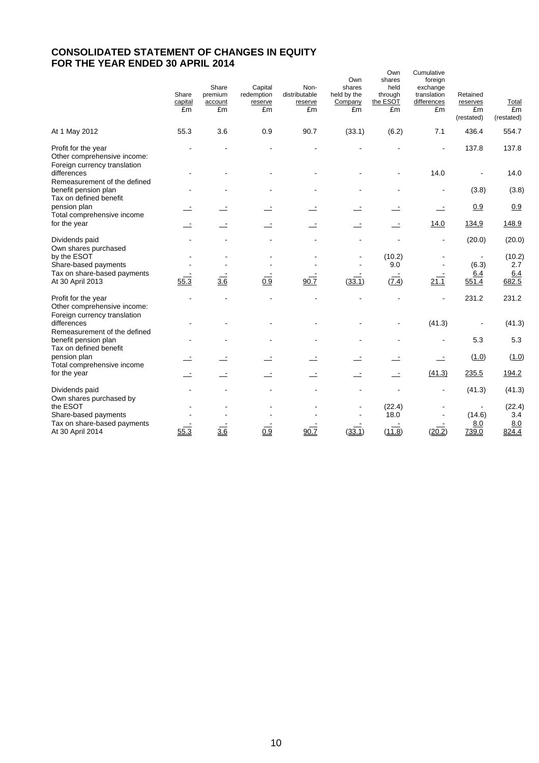# **CONSOLIDATED STATEMENT OF CHANGES IN EQUITY FOR THE YEAR ENDED 30 APRIL 2014**

|                                                                                    |                        |                                   |                                        |                                        |                                               | Own                                         | Cumulative                                              |                                          |                           |
|------------------------------------------------------------------------------------|------------------------|-----------------------------------|----------------------------------------|----------------------------------------|-----------------------------------------------|---------------------------------------------|---------------------------------------------------------|------------------------------------------|---------------------------|
|                                                                                    | Share<br>capital<br>£m | Share<br>premium<br>account<br>£m | Capital<br>redemption<br>reserve<br>£m | Non-<br>distributable<br>reserve<br>£m | Own<br>shares<br>held by the<br>Company<br>£m | shares<br>held<br>through<br>the ESOT<br>£m | foreign<br>exchange<br>translation<br>differences<br>£m | Retained<br>reserves<br>£m<br>(restated) | Total<br>£m<br>(restated) |
| At 1 May 2012                                                                      | 55.3                   | 3.6                               | 0.9                                    | 90.7                                   | (33.1)                                        | (6.2)                                       | 7.1                                                     | 436.4                                    | 554.7                     |
| Profit for the year<br>Other comprehensive income:<br>Foreign currency translation |                        |                                   |                                        |                                        |                                               |                                             |                                                         | 137.8                                    | 137.8                     |
| differences                                                                        |                        |                                   |                                        |                                        |                                               |                                             | 14.0                                                    |                                          | 14.0                      |
| Remeasurement of the defined<br>benefit pension plan<br>Tax on defined benefit     |                        |                                   |                                        |                                        |                                               |                                             |                                                         | (3.8)                                    | (3.8)                     |
| pension plan                                                                       |                        |                                   |                                        |                                        |                                               |                                             | $\overline{\phantom{a}}$                                | 0.9                                      | 0.9                       |
| Total comprehensive income<br>for the year                                         |                        |                                   |                                        |                                        |                                               |                                             | 14.0                                                    | 134,9                                    | 148.9                     |
| Dividends paid<br>Own shares purchased                                             |                        |                                   |                                        |                                        |                                               |                                             |                                                         | (20.0)                                   | (20.0)                    |
| by the ESOT<br>Share-based payments                                                |                        |                                   |                                        |                                        |                                               | (10.2)<br>9.0                               |                                                         | $\blacksquare$<br>(6.3)                  | (10.2)<br>2.7             |
| Tax on share-based payments                                                        |                        |                                   |                                        |                                        |                                               |                                             |                                                         | 6.4                                      | 6.4                       |
| At 30 April 2013                                                                   | 55.3                   | $\frac{3.6}{3.6}$                 | $\overline{0.9}$                       | 90.7                                   | (33.1)                                        | (7.4)                                       | 21.1                                                    | 551.4                                    | 682.5                     |
| Profit for the year<br>Other comprehensive income:<br>Foreign currency translation |                        |                                   |                                        |                                        |                                               |                                             |                                                         | 231.2                                    | 231.2                     |
| differences                                                                        |                        |                                   |                                        |                                        |                                               |                                             | (41.3)                                                  |                                          | (41.3)                    |
| Remeasurement of the defined<br>benefit pension plan<br>Tax on defined benefit     |                        |                                   |                                        |                                        |                                               |                                             |                                                         | 5.3                                      | 5.3                       |
| pension plan<br>Total comprehensive income                                         |                        |                                   |                                        |                                        |                                               |                                             | $\overline{\phantom{a}}$                                | (1.0)                                    | (1.0)                     |
| for the year                                                                       |                        |                                   |                                        |                                        |                                               |                                             | (41.3)                                                  | 235.5                                    | 194.2                     |
| Dividends paid<br>Own shares purchased by                                          |                        |                                   |                                        |                                        |                                               |                                             |                                                         | (41.3)                                   | (41.3)                    |
| the ESOT<br>Share-based payments                                                   |                        |                                   |                                        |                                        |                                               | (22.4)<br>18.0                              |                                                         | (14.6)                                   | (22.4)<br>3.4             |
| Tax on share-based payments<br>At 30 April 2014                                    | 55.3                   | 3.6                               | 0.9                                    | 90.7                                   | (33.1)                                        | (11.8)                                      | (20.2)                                                  | 8.0<br>739.0                             | 8.0<br>824.4              |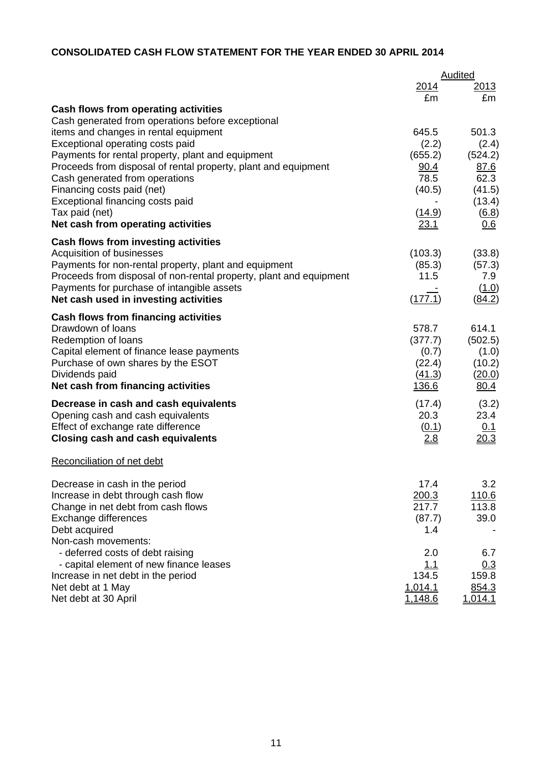# **CONSOLIDATED CASH FLOW STATEMENT FOR THE YEAR ENDED 30 APRIL 2014**

|                                                                                            |               | Audited             |
|--------------------------------------------------------------------------------------------|---------------|---------------------|
|                                                                                            | 2014          | <u> 2013 </u>       |
|                                                                                            | £m            | £m                  |
| Cash flows from operating activities                                                       |               |                     |
| Cash generated from operations before exceptional<br>items and changes in rental equipment | 645.5         | 501.3               |
| Exceptional operating costs paid                                                           | (2.2)         | (2.4)               |
| Payments for rental property, plant and equipment                                          | (655.2)       | (524.2)             |
| Proceeds from disposal of rental property, plant and equipment                             | 90.4          | <u>87.6</u>         |
| Cash generated from operations                                                             | 78.5          | 62.3                |
| Financing costs paid (net)                                                                 | (40.5)        | (41.5)              |
| Exceptional financing costs paid                                                           |               | (13.4)              |
| Tax paid (net)                                                                             | <u>(14.9)</u> | $\underline{(6.8)}$ |
| Net cash from operating activities                                                         | 23.1          | 0.6                 |
|                                                                                            |               |                     |
| Cash flows from investing activities<br>Acquisition of businesses                          | (103.3)       | (33.8)              |
| Payments for non-rental property, plant and equipment                                      | (85.3)        | (57.3)              |
| Proceeds from disposal of non-rental property, plant and equipment                         | 11.5          | 7.9                 |
| Payments for purchase of intangible assets                                                 |               | (1.0)               |
| Net cash used in investing activities                                                      | (177.1)       | (84.2)              |
| <b>Cash flows from financing activities</b>                                                |               |                     |
| Drawdown of loans                                                                          | 578.7         | 614.1               |
| Redemption of loans                                                                        | (377.7)       | (502.5)             |
| Capital element of finance lease payments                                                  | (0.7)         | (1.0)               |
| Purchase of own shares by the ESOT                                                         | (22.4)        | (10.2)              |
| Dividends paid                                                                             | (41.3)        | (20.0)              |
| Net cash from financing activities                                                         | 136.6         | 80.4                |
| Decrease in cash and cash equivalents                                                      | (17.4)        | (3.2)               |
| Opening cash and cash equivalents                                                          | 20.3          | 23.4                |
| Effect of exchange rate difference                                                         | (0.1)         | 0.1                 |
| <b>Closing cash and cash equivalents</b>                                                   | <u>2.8</u>    | 20.3                |
| Reconciliation of net debt                                                                 |               |                     |
| Decrease in cash in the period                                                             | 17.4          | 3.2                 |
| Increase in debt through cash flow                                                         | 200.3         | 110.6               |
| Change in net debt from cash flows                                                         | 217.7         | 113.8               |
| Exchange differences                                                                       | (87.7)        | 39.0                |
| Debt acquired                                                                              | 1.4           |                     |
| Non-cash movements:                                                                        |               |                     |
| - deferred costs of debt raising                                                           | 2.0           | 6.7                 |
| - capital element of new finance leases                                                    | 1.1           | 0.3                 |
| Increase in net debt in the period                                                         | 134.5         | 159.8               |
| Net debt at 1 May                                                                          | 1,014.1       | 854.3               |
| Net debt at 30 April                                                                       | 1,148.6       | 1,014.1             |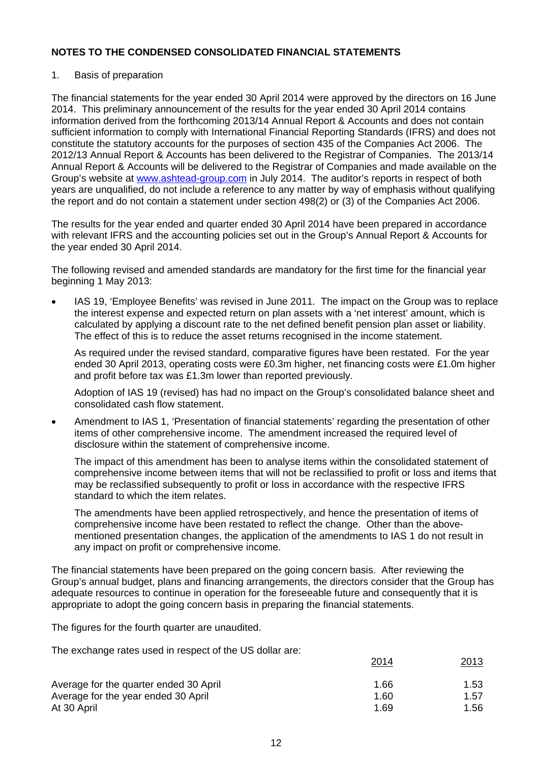# 1. Basis of preparation

The financial statements for the year ended 30 April 2014 were approved by the directors on 16 June 2014. This preliminary announcement of the results for the year ended 30 April 2014 contains information derived from the forthcoming 2013/14 Annual Report & Accounts and does not contain sufficient information to comply with International Financial Reporting Standards (IFRS) and does not constitute the statutory accounts for the purposes of section 435 of the Companies Act 2006. The 2012/13 Annual Report & Accounts has been delivered to the Registrar of Companies. The 2013/14 Annual Report & Accounts will be delivered to the Registrar of Companies and made available on the Group's website at www.ashtead-group.com in July 2014. The auditor's reports in respect of both years are unqualified, do not include a reference to any matter by way of emphasis without qualifying the report and do not contain a statement under section 498(2) or (3) of the Companies Act 2006.

The results for the year ended and quarter ended 30 April 2014 have been prepared in accordance with relevant IFRS and the accounting policies set out in the Group's Annual Report & Accounts for the year ended 30 April 2014.

The following revised and amended standards are mandatory for the first time for the financial year beginning 1 May 2013:

 IAS 19, 'Employee Benefits' was revised in June 2011. The impact on the Group was to replace the interest expense and expected return on plan assets with a 'net interest' amount, which is calculated by applying a discount rate to the net defined benefit pension plan asset or liability. The effect of this is to reduce the asset returns recognised in the income statement.

As required under the revised standard, comparative figures have been restated. For the year ended 30 April 2013, operating costs were £0.3m higher, net financing costs were £1.0m higher and profit before tax was £1.3m lower than reported previously.

Adoption of IAS 19 (revised) has had no impact on the Group's consolidated balance sheet and consolidated cash flow statement.

 Amendment to IAS 1, 'Presentation of financial statements' regarding the presentation of other items of other comprehensive income. The amendment increased the required level of disclosure within the statement of comprehensive income.

The impact of this amendment has been to analyse items within the consolidated statement of comprehensive income between items that will not be reclassified to profit or loss and items that may be reclassified subsequently to profit or loss in accordance with the respective IFRS standard to which the item relates.

The amendments have been applied retrospectively, and hence the presentation of items of comprehensive income have been restated to reflect the change. Other than the abovementioned presentation changes, the application of the amendments to IAS 1 do not result in any impact on profit or comprehensive income.

The financial statements have been prepared on the going concern basis. After reviewing the Group's annual budget, plans and financing arrangements, the directors consider that the Group has adequate resources to continue in operation for the foreseeable future and consequently that it is appropriate to adopt the going concern basis in preparing the financial statements.

The figures for the fourth quarter are unaudited.

The exchange rates used in respect of the US dollar are:

|                                        | 2014 | 2013 |
|----------------------------------------|------|------|
| Average for the quarter ended 30 April | 1.66 | 1.53 |
| Average for the year ended 30 April    | 1.60 | 1.57 |
| At 30 April                            | 1.69 | 1.56 |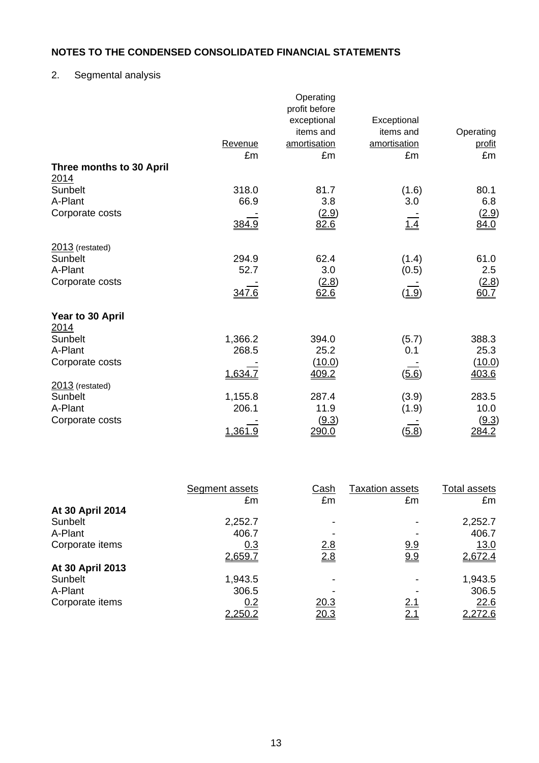# 2. Segmental analysis

|                                         |         | Operating     |              |              |
|-----------------------------------------|---------|---------------|--------------|--------------|
|                                         |         | profit before |              |              |
|                                         |         | exceptional   | Exceptional  |              |
|                                         |         | items and     | items and    | Operating    |
|                                         | Revenue | amortisation  | amortisation | profit       |
|                                         | £m      | £m            | £m           | £m           |
| Three months to 30 April<br><u>2014</u> |         |               |              |              |
| Sunbelt                                 | 318.0   | 81.7          | (1.6)        | 80.1         |
| A-Plant                                 | 66.9    | 3.8           | 3.0          | 6.8          |
| Corporate costs                         |         | (2.9)         |              | <u>(2.9)</u> |
|                                         | 384.9   | 82.6          | 1.4          | 84.0         |
| $2013$ (restated)                       |         |               |              |              |
| Sunbelt                                 | 294.9   | 62.4          | (1.4)        | 61.0         |
| A-Plant                                 | 52.7    | 3.0           | (0.5)        | 2.5          |
| Corporate costs                         |         | (2.8)         |              | (2.8)        |
|                                         | 347.6   | 62.6          | (1.9)        | 60.7         |
| Year to 30 April                        |         |               |              |              |
| 2014                                    |         |               |              |              |
| Sunbelt                                 | 1,366.2 | 394.0         | (5.7)        | 388.3        |
| A-Plant                                 | 268.5   | 25.2          | 0.1          | 25.3         |
| Corporate costs                         |         | (10.0)        |              | (10.0)       |
|                                         | 1,634.7 | 409.2         | (5.6)        | 403.6        |
| $2013$ (restated)                       |         |               |              |              |
| Sunbelt                                 | 1,155.8 | 287.4         | (3.9)        | 283.5        |
| A-Plant                                 | 206.1   | 11.9          | (1.9)        | 10.0         |
| Corporate costs                         |         | (9.3)         |              | (9.3)        |
|                                         | 1,361.9 | 290.0         | (5.8)        | 284.2        |

|                  | Segment assets | <u>Cash</u>  | <b>Taxation assets</b> | Total assets |
|------------------|----------------|--------------|------------------------|--------------|
|                  | £m             | £m           | £m                     | £m           |
| At 30 April 2014 |                |              |                        |              |
| Sunbelt          | 2,252.7        |              |                        | 2,252.7      |
| A-Plant          | 406.7          |              |                        | 406.7        |
| Corporate items  | 0.3            | 2.8          | <u>9.9</u>             | <u>13.0</u>  |
|                  | 2,659.7        | 2.8          | 9.9                    | 2,672.4      |
| At 30 April 2013 |                |              |                        |              |
| Sunbelt          | 1,943.5        |              |                        | 1,943.5      |
| A-Plant          | 306.5          |              |                        | 306.5        |
| Corporate items  | 0.2            | 20.3         | <u>2.1</u>             | 22.6         |
|                  | <u>2,250.2</u> | <u> 20.3</u> | <u>2.1</u>             | 2,272.6      |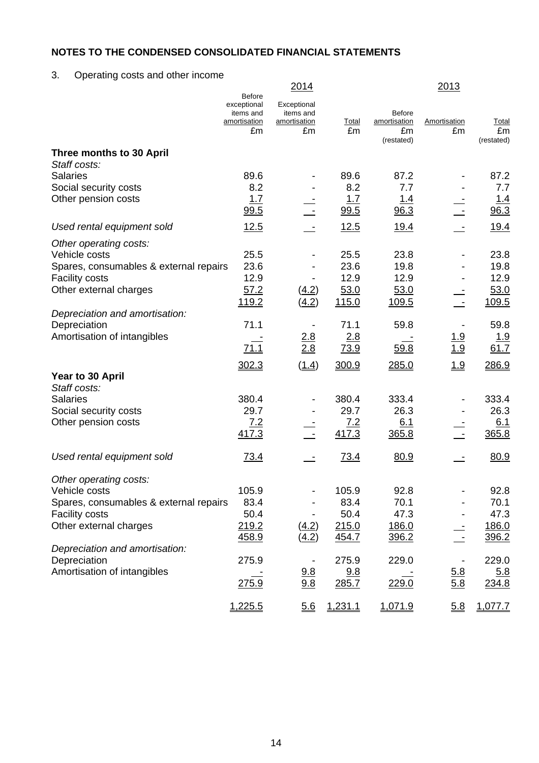3. Operating costs and other income

|                                              |                                                                 | 2014                                           |                    |                                     | 2013               |                     |
|----------------------------------------------|-----------------------------------------------------------------|------------------------------------------------|--------------------|-------------------------------------|--------------------|---------------------|
|                                              | Before<br>exceptional<br>items and<br><u>amortisation</u><br>£m | Exceptional<br>items and<br>amortisation<br>£m | <b>Total</b><br>£m | <b>Before</b><br>amortisation<br>£m | Amortisation<br>£m | Total<br>£m         |
|                                              |                                                                 |                                                |                    | (restated)                          |                    | (restated)          |
| Three months to 30 April<br>Staff costs:     |                                                                 |                                                |                    |                                     |                    |                     |
| <b>Salaries</b>                              | 89.6                                                            |                                                | 89.6               | 87.2                                |                    | 87.2                |
| Social security costs                        | 8.2                                                             |                                                | 8.2                | 7.7                                 |                    | 7.7                 |
| Other pension costs                          | 1.7                                                             |                                                | 1.7                | <u> 1.4</u>                         |                    | <u>1.4</u>          |
|                                              | 99.5                                                            |                                                | 99.5               | 96.3                                |                    | 96.3                |
| Used rental equipment sold                   | 12.5                                                            |                                                | 12.5               | <u>19.4</u>                         |                    | <u>19.4</u>         |
| Other operating costs:                       |                                                                 |                                                |                    |                                     |                    |                     |
| Vehicle costs                                | 25.5                                                            |                                                | 25.5               | 23.8                                |                    | 23.8                |
| Spares, consumables & external repairs       | 23.6                                                            |                                                | 23.6               | 19.8                                |                    | 19.8                |
| <b>Facility costs</b>                        | 12.9                                                            |                                                | 12.9               | 12.9                                |                    | 12.9                |
| Other external charges                       | 57.2<br>119.2                                                   | (4.2)<br>(4.2)                                 | 53.0<br>115.0      | 53.0                                |                    | 53.0<br>109.5       |
| Depreciation and amortisation:               |                                                                 |                                                |                    | <u>109.5</u>                        |                    |                     |
| Depreciation                                 | 71.1                                                            |                                                | 71.1               | 59.8                                |                    | 59.8                |
| Amortisation of intangibles                  |                                                                 | 2.8                                            | 2.8                |                                     |                    | <u> 1.9</u>         |
|                                              | 71.1                                                            | 2.8                                            | 73.9               | 59.8                                | $\frac{1.9}{1.9}$  | 61.7                |
|                                              | 302.3                                                           | (1.4)                                          | 300.9              | 285.0                               | 1.9                | 286.9               |
| Year to 30 April                             |                                                                 |                                                |                    |                                     |                    |                     |
| Staff costs:                                 |                                                                 |                                                |                    |                                     |                    |                     |
| <b>Salaries</b>                              | 380.4                                                           |                                                | 380.4              | 333.4                               |                    | 333.4               |
| Social security costs<br>Other pension costs | 29.7<br>7.2                                                     |                                                | 29.7<br>7.2        | 26.3                                |                    | 26.3                |
|                                              | 417.3                                                           |                                                | 417.3              | 6.1<br>365.8                        |                    | 6.1<br>365.8        |
|                                              |                                                                 |                                                |                    |                                     |                    |                     |
| Used rental equipment sold                   | <u>73.4</u>                                                     |                                                | 73.4               | 80.9                                |                    | 80.9                |
|                                              |                                                                 |                                                |                    |                                     |                    |                     |
| Other operating costs:<br>Vehicle costs      | 105.9                                                           |                                                | 105.9              | 92.8                                |                    | 92.8                |
| Spares, consumables & external repairs       | 83.4                                                            |                                                | 83.4               | 70.1                                |                    | 70.1                |
| <b>Facility costs</b>                        | 50.4                                                            |                                                | 50.4               | 47.3                                |                    | 47.3                |
| Other external charges                       | 219.2                                                           | (4.2)                                          | 215.0              | 186.0                               |                    | 186.0               |
|                                              | 458.9                                                           | (4.2)                                          | 454.7              | 396.2                               |                    | 396.2               |
| Depreciation and amortisation:               |                                                                 |                                                |                    |                                     |                    |                     |
| Depreciation<br>Amortisation of intangibles  | 275.9                                                           |                                                | 275.9              | 229.0                               |                    | 229.0               |
|                                              | 275.9                                                           | 9.8<br>9.8                                     | 9.8<br>285.7       | 229.0                               | 5.8<br>5.8         | <u>5.8</u><br>234.8 |
|                                              |                                                                 |                                                |                    |                                     |                    |                     |
|                                              | 1,225.5                                                         | 5.6                                            | 1,231.1            | 1,071.9                             | 5.8                | 1,077.7             |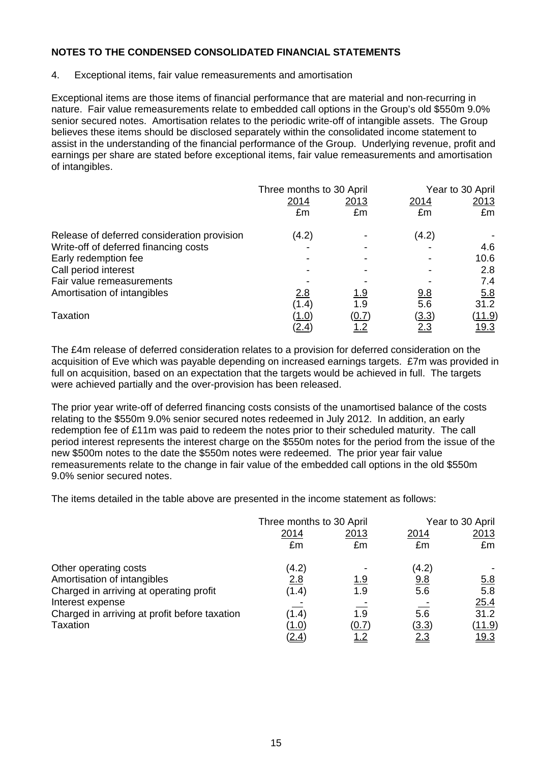# 4. Exceptional items, fair value remeasurements and amortisation

Exceptional items are those items of financial performance that are material and non-recurring in nature. Fair value remeasurements relate to embedded call options in the Group's old \$550m 9.0% senior secured notes. Amortisation relates to the periodic write-off of intangible assets. The Group believes these items should be disclosed separately within the consolidated income statement to assist in the understanding of the financial performance of the Group. Underlying revenue, profit and earnings per share are stated before exceptional items, fair value remeasurements and amortisation of intangibles.

|                                             | Three months to 30 April |              | Year to 30 April |               |  |
|---------------------------------------------|--------------------------|--------------|------------------|---------------|--|
|                                             | 2014                     | 2013         | 2014             | 2013          |  |
|                                             | £m                       | £m           | £m               | £m            |  |
| Release of deferred consideration provision | (4.2)                    |              | (4.2)            |               |  |
| Write-off of deferred financing costs       |                          |              |                  | 4.6           |  |
| Early redemption fee                        |                          |              |                  | 10.6          |  |
| Call period interest                        |                          |              |                  | 2.8           |  |
| Fair value remeasurements                   |                          |              |                  | 7.4           |  |
| Amortisation of intangibles                 | 2.8                      | <u> 1.9</u>  | <u>9.8</u>       | 5.8           |  |
|                                             | (1.4)                    | 1.9          | 5.6              | 31.2          |  |
| Taxation                                    | (1.0)                    | <u>(0.7)</u> | (3.3)            | <u>(11.9)</u> |  |
|                                             | <u>(2.4)</u>             | <u>1.2</u>   | <u>2.3</u>       | <u> 19.3</u>  |  |

The £4m release of deferred consideration relates to a provision for deferred consideration on the acquisition of Eve which was payable depending on increased earnings targets. £7m was provided in full on acquisition, based on an expectation that the targets would be achieved in full. The targets were achieved partially and the over-provision has been released.

The prior year write-off of deferred financing costs consists of the unamortised balance of the costs relating to the \$550m 9.0% senior secured notes redeemed in July 2012. In addition, an early redemption fee of £11m was paid to redeem the notes prior to their scheduled maturity. The call period interest represents the interest charge on the \$550m notes for the period from the issue of the new \$500m notes to the date the \$550m notes were redeemed. The prior year fair value remeasurements relate to the change in fair value of the embedded call options in the old \$550m 9.0% senior secured notes.

The items detailed in the table above are presented in the income statement as follows:

|                                               | Three months to 30 April |             | Year to 30 April |               |  |
|-----------------------------------------------|--------------------------|-------------|------------------|---------------|--|
|                                               | 2014                     | 2013        | 2014             | 2013          |  |
|                                               | £m                       | £m          | £m               | £m            |  |
| Other operating costs                         | (4.2)                    |             | (4.2)            |               |  |
| Amortisation of intangibles                   | 2.8                      | <u> 1.9</u> | 9.8              | <u>5.8</u>    |  |
| Charged in arriving at operating profit       | (1.4)                    | 1.9         | 5.6              | 5.8           |  |
| Interest expense                              |                          |             |                  | 25.4          |  |
| Charged in arriving at profit before taxation | (1.4)                    | 1.9         | 5.6              | 31.2          |  |
| <b>Taxation</b>                               | (1.0)                    | (0.7)       | (3.3)            | <u>(11.9)</u> |  |
|                                               | <u>(2.4)</u>             | <u>1.2</u>  | <u>2.3</u>       | <u>19.3</u>   |  |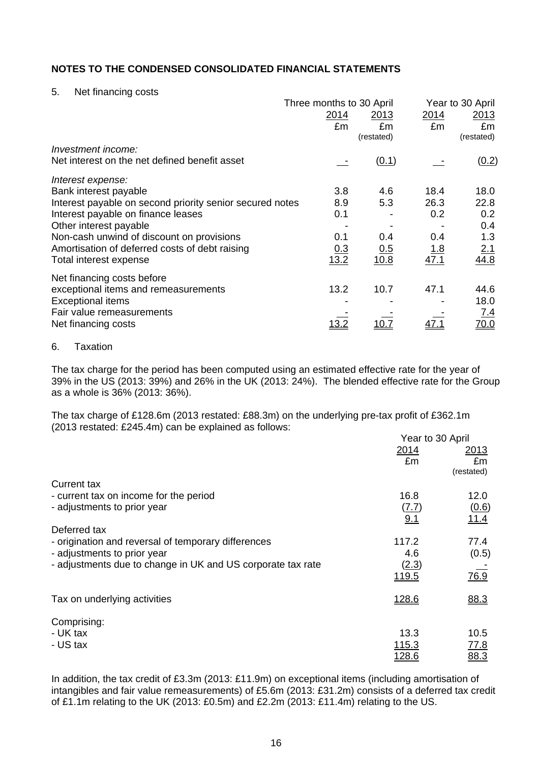### 5. Net financing costs

|                                                          | Three months to 30 April |            |            | Year to 30 April |
|----------------------------------------------------------|--------------------------|------------|------------|------------------|
|                                                          | 2014                     | 2013       | 2014       | 2013             |
|                                                          | £m                       | £m         | £m         | £m               |
|                                                          |                          | (restated) |            | (restated)       |
| Investment income:                                       |                          |            |            |                  |
| Net interest on the net defined benefit asset            |                          | (0.1)      |            | (0.2)            |
| Interest expense:                                        |                          |            |            |                  |
| Bank interest payable                                    | 3.8                      | 4.6        | 18.4       | 18.0             |
| Interest payable on second priority senior secured notes | 8.9                      | 5.3        | 26.3       | 22.8             |
| Interest payable on finance leases                       | 0.1                      |            | 0.2        | 0.2              |
| Other interest payable                                   |                          |            |            | 0.4              |
| Non-cash unwind of discount on provisions                | 0.1                      | 0.4        | 0.4        | 1.3              |
| Amortisation of deferred costs of debt raising           | 0.3                      | 0.5        | <u>1.8</u> | 2.1              |
| Total interest expense                                   | 13.2                     | 10.8       | 47.1       | 44.8             |
| Net financing costs before                               |                          |            |            |                  |
| exceptional items and remeasurements                     | 13.2                     | 10.7       | 47.1       | 44.6             |
| <b>Exceptional items</b>                                 |                          |            |            | 18.0             |
| Fair value remeasurements                                |                          |            |            | <u>7.4</u>       |
| Net financing costs                                      | <u> 13.2</u>             |            | 47.1       | 70.0             |
|                                                          |                          |            |            |                  |

#### 6. Taxation

The tax charge for the period has been computed using an estimated effective rate for the year of 39% in the US (2013: 39%) and 26% in the UK (2013: 24%). The blended effective rate for the Group as a whole is 36% (2013: 36%).

The tax charge of £128.6m (2013 restated: £88.3m) on the underlying pre-tax profit of £362.1m (2013 restated: £245.4m) can be explained as follows: Year to 30 April

|                                                             | Year to 30 April |             |  |
|-------------------------------------------------------------|------------------|-------------|--|
|                                                             | 2014             | <u>2013</u> |  |
|                                                             | £m               | £m          |  |
|                                                             |                  | (restated)  |  |
| Current tax                                                 |                  |             |  |
| - current tax on income for the period                      | 16.8             | 12.0        |  |
| - adjustments to prior year                                 | (7.7)            | (0.6)       |  |
|                                                             | 9.1              | 11.4        |  |
| Deferred tax                                                |                  |             |  |
| - origination and reversal of temporary differences         | 117.2            | 77.4        |  |
| - adjustments to prior year                                 | 4.6              | (0.5)       |  |
| - adjustments due to change in UK and US corporate tax rate | (2.3)            |             |  |
|                                                             | 119.5            | 76.9        |  |
| Tax on underlying activities                                | 128.6            | 88.3        |  |
|                                                             |                  |             |  |
| Comprising:                                                 |                  |             |  |
| - UK tax                                                    | 13.3             | 10.5        |  |
| - US tax                                                    | 115.3            | <u>77.8</u> |  |
|                                                             | <u> 128.6</u>    | 88.3        |  |
|                                                             |                  |             |  |

In addition, the tax credit of £3.3m (2013: £11.9m) on exceptional items (including amortisation of intangibles and fair value remeasurements) of £5.6m (2013: £31.2m) consists of a deferred tax credit of £1.1m relating to the UK (2013: £0.5m) and £2.2m (2013: £11.4m) relating to the US.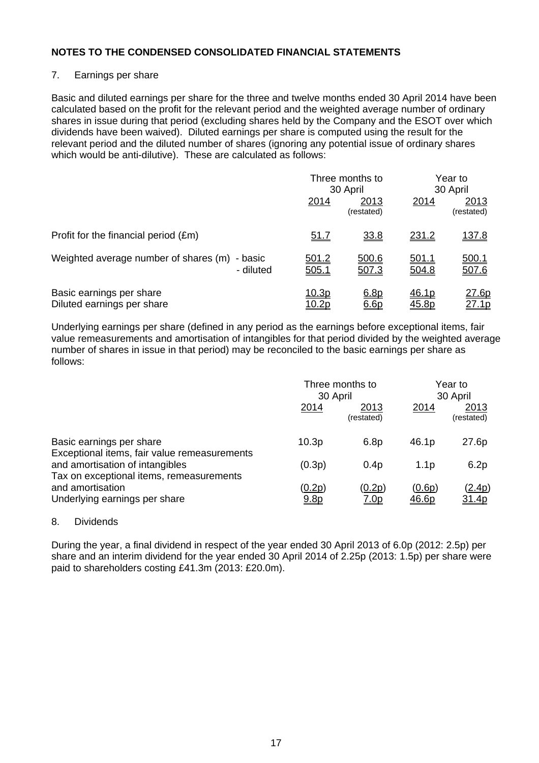# 7. Earnings per share

Basic and diluted earnings per share for the three and twelve months ended 30 April 2014 have been calculated based on the profit for the relevant period and the weighted average number of ordinary shares in issue during that period (excluding shares held by the Company and the ESOT over which dividends have been waived). Diluted earnings per share is computed using the result for the relevant period and the diluted number of shares (ignoring any potential issue of ordinary shares which would be anti-dilutive). These are calculated as follows:

|                                                               |                | Three months to<br>30 April |                | Year to<br>30 April           |
|---------------------------------------------------------------|----------------|-----------------------------|----------------|-------------------------------|
|                                                               | 2014           | 2013<br>(restated)          | 2014           | 2013<br>(restated)            |
| Profit for the financial period $(\text{Em})$                 | <u>51.7</u>    | 33.8                        | 231.2          | <u>137.8</u>                  |
| Weighted average number of shares (m)<br>- basic<br>- diluted | 501.2<br>505.1 | 500.6<br>507.3              | 501.1<br>504.8 | <u>500.1</u><br>507.6         |
| Basic earnings per share<br>Diluted earnings per share        | <u> 10.3p</u>  | 6.8p<br>6.6p                | 46.1p<br>45.8p | <u> 27.6p</u><br><u>27.1p</u> |

Underlying earnings per share (defined in any period as the earnings before exceptional items, fair value remeasurements and amortisation of intangibles for that period divided by the weighted average number of shares in issue in that period) may be reconciled to the basic earnings per share as follows:

|                                                                             | Three months to<br>30 April       |                       | Year to<br>30 April    |                        |
|-----------------------------------------------------------------------------|-----------------------------------|-----------------------|------------------------|------------------------|
|                                                                             | 2014                              | 2013<br>(restated)    | 2014                   | 2013<br>(restated)     |
| Basic earnings per share<br>Exceptional items, fair value remeasurements    | 10.3 <sub>p</sub>                 | 6.8p                  | 46.1p                  | 27.6p                  |
| and amortisation of intangibles<br>Tax on exceptional items, remeasurements | (0.3p)                            | 0.4 <sub>p</sub>      | 1.1 <sub>p</sub>       | 6.2p                   |
| and amortisation<br>Underlying earnings per share                           | <u>(0.2p)</u><br>9.8 <sub>D</sub> | (0.2p)<br><u>7.0p</u> | (0.6p)<br><u>46.6p</u> | (2.4p)<br><u>31.4p</u> |

# 8. Dividends

During the year, a final dividend in respect of the year ended 30 April 2013 of 6.0p (2012: 2.5p) per share and an interim dividend for the year ended 30 April 2014 of 2.25p (2013: 1.5p) per share were paid to shareholders costing £41.3m (2013: £20.0m).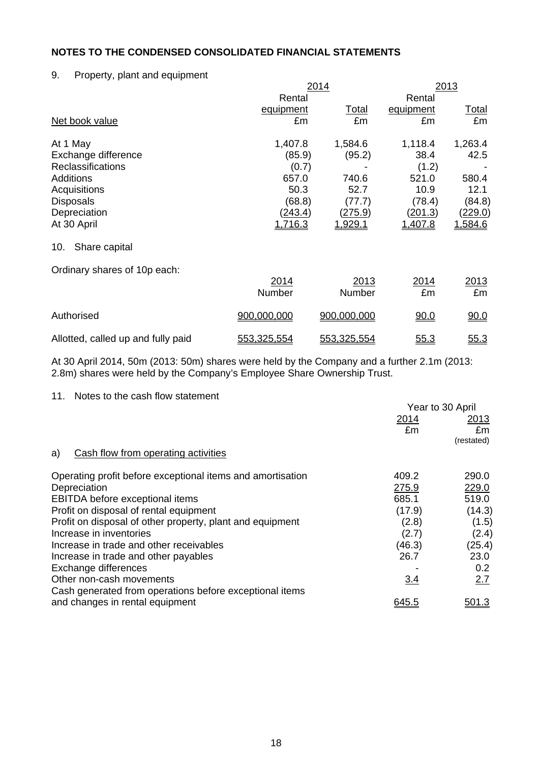# 9. Property, plant and equipment

|                              | 2014           | 2013           |                |                |
|------------------------------|----------------|----------------|----------------|----------------|
|                              | Rental         |                | Rental         |                |
|                              | equipment      | Total          | equipment      | <u>Total</u>   |
| Net book value               | £m             | £m             | £m             | £m             |
| At 1 May                     | 1,407.8        | 1,584.6        | 1,118.4        | 1,263.4        |
| Exchange difference          | (85.9)         | (95.2)         | 38.4           | 42.5           |
| <b>Reclassifications</b>     | (0.7)          |                | (1.2)          |                |
| <b>Additions</b>             | 657.0          | 740.6          | 521.0          | 580.4          |
| Acquisitions                 | 50.3           | 52.7           | 10.9           | 12.1           |
| <b>Disposals</b>             | (68.8)         | (77.7)         | (78.4)         | (84.8)         |
| Depreciation                 | <u>(243.4)</u> | <u>(275.9)</u> | <u>(201.3)</u> | <u>(229.0)</u> |
| At 30 April                  | <u>1,716.3</u> | <u>1,929.1</u> | <u>1,407.8</u> | 1,584.6        |
| Share capital<br>10.         |                |                |                |                |
| Ordinary shares of 10p each: |                |                |                |                |
|                              | 2014           | 2013           | 2014           | 2013           |
|                              | Number         | Number         | £m             | £m             |

Allotted, called up and fully paid  $\frac{553,325,554}{553,325,554}$  55.3

Authorised 000,000,000,000 900,000,000 900,000 90.0

At 30 April 2014, 50m (2013: 50m) shares were held by the Company and a further 2.1m (2013: 2.8m) shares were held by the Company's Employee Share Ownership Trust.

# 11. Notes to the cash flow statement

|                                                            | Year to 30 April |              |  |
|------------------------------------------------------------|------------------|--------------|--|
|                                                            | 2014             | 2013         |  |
|                                                            | £m               | £m           |  |
|                                                            |                  | (restated)   |  |
| Cash flow from operating activities<br>a)                  |                  |              |  |
| Operating profit before exceptional items and amortisation | 409.2            | 290.0        |  |
| Depreciation                                               | 275.9            | 229.0        |  |
| <b>EBITDA</b> before exceptional items                     | 685.1            | 519.0        |  |
| Profit on disposal of rental equipment                     | (17.9)           | (14.3)       |  |
| Profit on disposal of other property, plant and equipment  | (2.8)            | (1.5)        |  |
| Increase in inventories                                    | (2.7)            | (2.4)        |  |
| Increase in trade and other receivables                    | (46.3)           | (25.4)       |  |
| Increase in trade and other payables                       | 26.7             | 23.0         |  |
| Exchange differences                                       |                  | 0.2          |  |
| Other non-cash movements                                   | 3.4              | 2.7          |  |
| Cash generated from operations before exceptional items    |                  |              |  |
| and changes in rental equipment                            | 645.5            | <u>501.3</u> |  |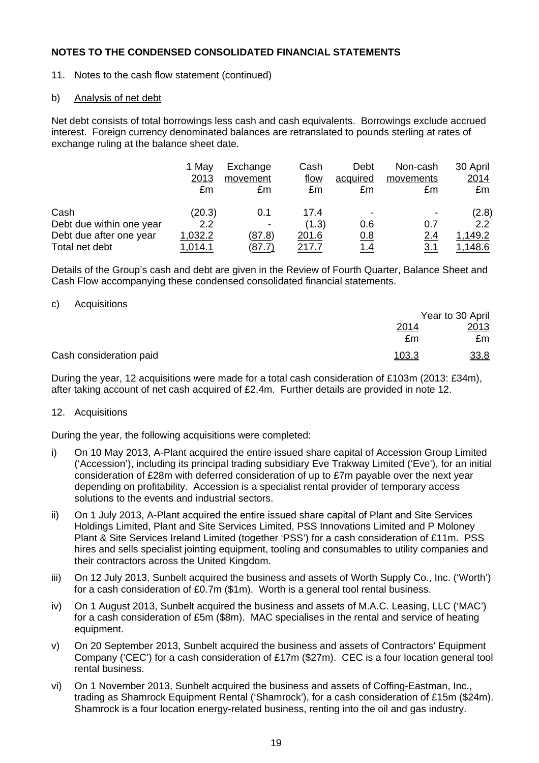11. Notes to the cash flow statement (continued)

# b) Analysis of net debt

Net debt consists of total borrowings less cash and cash equivalents. Borrowings exclude accrued interest. Foreign currency denominated balances are retranslated to pounds sterling at rates of exchange ruling at the balance sheet date.

|                          | 1 May<br>2013<br>£m | Exchange<br>movement<br>£m | Cash<br>flow<br>£m | Debt<br>acquired<br>£m | Non-cash<br>movements<br>£m | 30 April<br>2014<br>£m |
|--------------------------|---------------------|----------------------------|--------------------|------------------------|-----------------------------|------------------------|
| Cash                     | (20.3)              | 0.1                        | 17.4               |                        |                             | (2.8)                  |
| Debt due within one year | 2.2                 |                            | (1.3)              | 0.6                    | 0.7                         | 2.2                    |
| Debt due after one year  | 1,032.2             | (87.8)                     | 201.6              | 0.8                    | <u>2.4</u>                  | 1,149.2                |
| Total net debt           | .014.1              | <u>87.7 </u>               | 217.7              | <u>1.4</u>             | <u>3.1</u>                  | <u>.148.6</u>          |

Details of the Group's cash and debt are given in the Review of Fourth Quarter, Balance Sheet and Cash Flow accompanying these condensed consolidated financial statements.

# c) Acquisitions

|                         |              | Year to 30 April |
|-------------------------|--------------|------------------|
|                         | <u> 2014</u> | 2013             |
|                         | £m           | £m               |
| Cash consideration paid | 103.3        | 33.8             |

During the year, 12 acquisitions were made for a total cash consideration of £103m (2013: £34m), after taking account of net cash acquired of £2.4m. Further details are provided in note 12.

# 12. Acquisitions

During the year, the following acquisitions were completed:

- i) On 10 May 2013, A-Plant acquired the entire issued share capital of Accession Group Limited ('Accession'), including its principal trading subsidiary Eve Trakway Limited ('Eve'), for an initial consideration of £28m with deferred consideration of up to £7m payable over the next year depending on profitability. Accession is a specialist rental provider of temporary access solutions to the events and industrial sectors.
- ii) On 1 July 2013, A-Plant acquired the entire issued share capital of Plant and Site Services Holdings Limited, Plant and Site Services Limited, PSS Innovations Limited and P Moloney Plant & Site Services Ireland Limited (together 'PSS') for a cash consideration of £11m. PSS hires and sells specialist jointing equipment, tooling and consumables to utility companies and their contractors across the United Kingdom.
- iii) On 12 July 2013, Sunbelt acquired the business and assets of Worth Supply Co., Inc. ('Worth') for a cash consideration of £0.7m (\$1m). Worth is a general tool rental business.
- iv) On 1 August 2013, Sunbelt acquired the business and assets of M.A.C. Leasing, LLC ('MAC') for a cash consideration of £5m (\$8m). MAC specialises in the rental and service of heating equipment.
- v) On 20 September 2013, Sunbelt acquired the business and assets of Contractors' Equipment Company ('CEC') for a cash consideration of £17m (\$27m). CEC is a four location general tool rental business.
- vi) On 1 November 2013, Sunbelt acquired the business and assets of Coffing-Eastman, Inc., trading as Shamrock Equipment Rental ('Shamrock'), for a cash consideration of £15m (\$24m). Shamrock is a four location energy-related business, renting into the oil and gas industry.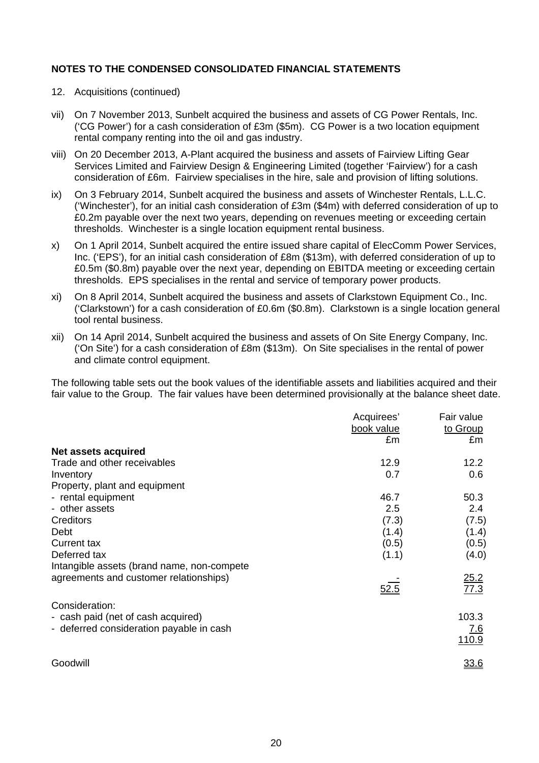- 12. Acquisitions (continued)
- vii) On 7 November 2013, Sunbelt acquired the business and assets of CG Power Rentals, Inc. ('CG Power') for a cash consideration of £3m (\$5m). CG Power is a two location equipment rental company renting into the oil and gas industry.
- viii) On 20 December 2013, A-Plant acquired the business and assets of Fairview Lifting Gear Services Limited and Fairview Design & Engineering Limited (together 'Fairview') for a cash consideration of £6m. Fairview specialises in the hire, sale and provision of lifting solutions.
- ix) On 3 February 2014, Sunbelt acquired the business and assets of Winchester Rentals, L.L.C. ('Winchester'), for an initial cash consideration of £3m (\$4m) with deferred consideration of up to £0.2m payable over the next two years, depending on revenues meeting or exceeding certain thresholds. Winchester is a single location equipment rental business.
- x) On 1 April 2014, Sunbelt acquired the entire issued share capital of ElecComm Power Services, Inc. ('EPS'), for an initial cash consideration of £8m (\$13m), with deferred consideration of up to £0.5m (\$0.8m) payable over the next year, depending on EBITDA meeting or exceeding certain thresholds. EPS specialises in the rental and service of temporary power products.
- xi) On 8 April 2014, Sunbelt acquired the business and assets of Clarkstown Equipment Co., Inc. ('Clarkstown') for a cash consideration of £0.6m (\$0.8m). Clarkstown is a single location general tool rental business.
- xii) On 14 April 2014, Sunbelt acquired the business and assets of On Site Energy Company, Inc. ('On Site') for a cash consideration of £8m (\$13m). On Site specialises in the rental of power and climate control equipment.

The following table sets out the book values of the identifiable assets and liabilities acquired and their fair value to the Group. The fair values have been determined provisionally at the balance sheet date.

|                                            | Acquirees' | Fair value          |
|--------------------------------------------|------------|---------------------|
|                                            | book value | to Group            |
|                                            | £m         | £m                  |
| <b>Net assets acquired</b>                 |            |                     |
| Trade and other receivables                | 12.9       | 12.2                |
| Inventory                                  | 0.7        | 0.6                 |
| Property, plant and equipment              |            |                     |
| - rental equipment                         | 46.7       | 50.3                |
| - other assets                             | 2.5        | 2.4                 |
| Creditors                                  | (7.3)      | (7.5)               |
| Debt                                       | (1.4)      | (1.4)               |
| <b>Current tax</b>                         | (0.5)      | (0.5)               |
| Deferred tax                               | (1.1)      | (4.0)               |
| Intangible assets (brand name, non-compete |            |                     |
| agreements and customer relationships)     |            |                     |
|                                            | 52.5       | $\frac{25.2}{77.3}$ |
| Consideration:                             |            |                     |
| - cash paid (net of cash acquired)         |            | 103.3               |
| - deferred consideration payable in cash   |            | <u>7.6</u>          |
|                                            |            | 110.9               |
|                                            |            |                     |
| Goodwill                                   |            | 33.6                |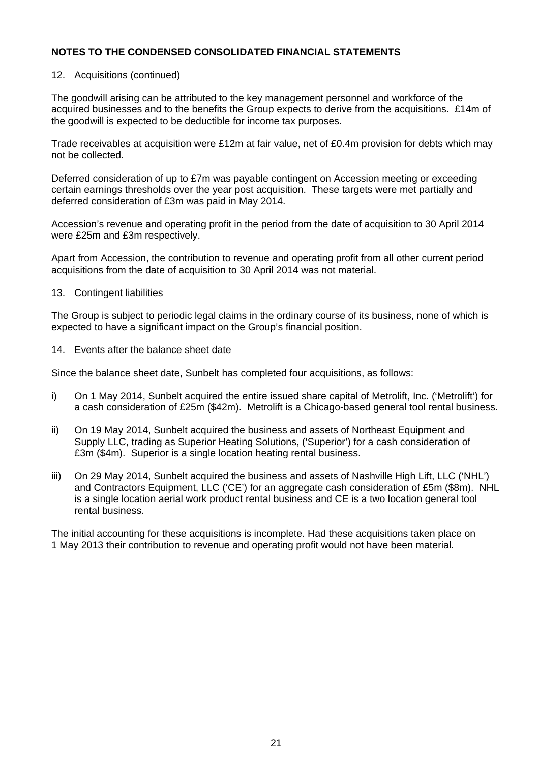# 12. Acquisitions (continued)

The goodwill arising can be attributed to the key management personnel and workforce of the acquired businesses and to the benefits the Group expects to derive from the acquisitions. £14m of the goodwill is expected to be deductible for income tax purposes.

Trade receivables at acquisition were £12m at fair value, net of £0.4m provision for debts which may not be collected.

Deferred consideration of up to £7m was payable contingent on Accession meeting or exceeding certain earnings thresholds over the year post acquisition. These targets were met partially and deferred consideration of £3m was paid in May 2014.

Accession's revenue and operating profit in the period from the date of acquisition to 30 April 2014 were £25m and £3m respectively.

Apart from Accession, the contribution to revenue and operating profit from all other current period acquisitions from the date of acquisition to 30 April 2014 was not material.

13. Contingent liabilities

The Group is subject to periodic legal claims in the ordinary course of its business, none of which is expected to have a significant impact on the Group's financial position.

14. Events after the balance sheet date

Since the balance sheet date, Sunbelt has completed four acquisitions, as follows:

- i) On 1 May 2014, Sunbelt acquired the entire issued share capital of Metrolift, Inc. ('Metrolift') for a cash consideration of £25m (\$42m). Metrolift is a Chicago-based general tool rental business.
- ii) On 19 May 2014, Sunbelt acquired the business and assets of Northeast Equipment and Supply LLC, trading as Superior Heating Solutions, ('Superior') for a cash consideration of £3m (\$4m). Superior is a single location heating rental business.
- iii) On 29 May 2014, Sunbelt acquired the business and assets of Nashville High Lift, LLC ('NHL') and Contractors Equipment, LLC ('CE') for an aggregate cash consideration of £5m (\$8m). NHL is a single location aerial work product rental business and CE is a two location general tool rental business.

The initial accounting for these acquisitions is incomplete. Had these acquisitions taken place on 1 May 2013 their contribution to revenue and operating profit would not have been material.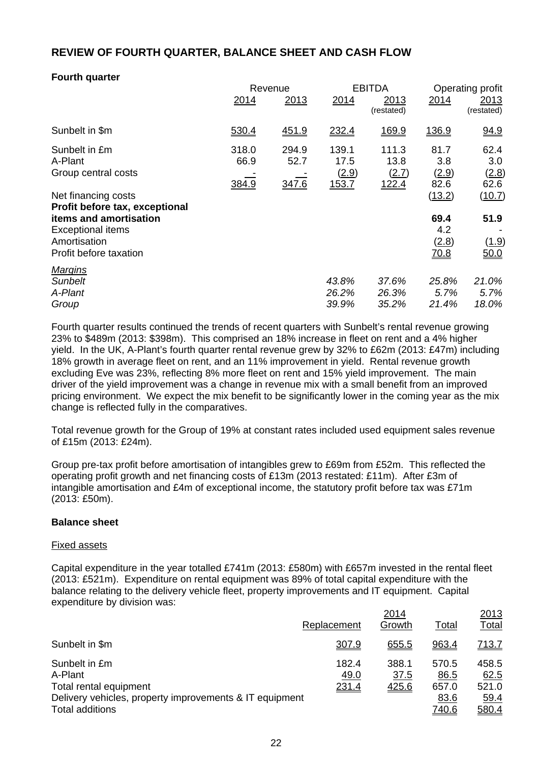# **REVIEW OF FOURTH QUARTER, BALANCE SHEET AND CASH FLOW**

# **Fourth quarter**

|                                                                                              |                        | Revenue                | <b>EBITDA</b>                   |                                 | Operating profit             |                              |
|----------------------------------------------------------------------------------------------|------------------------|------------------------|---------------------------------|---------------------------------|------------------------------|------------------------------|
|                                                                                              | 2014                   | 2013                   | 2014                            | 2013<br>(restated)              | 2014                         | 2013<br>(restated)           |
| Sunbelt in \$m                                                                               | 530.4                  | 451.9                  | 232.4                           | 169.9                           | <u>136.9</u>                 | 94.9                         |
| Sunbelt in £m<br>A-Plant<br>Group central costs                                              | 318.0<br>66.9<br>384.9 | 294.9<br>52.7<br>347.6 | 139.1<br>17.5<br>(2.9)<br>153.7 | 111.3<br>13.8<br>(2.7)<br>122.4 | 81.7<br>3.8<br>(2.9)<br>82.6 | 62.4<br>3.0<br>(2.8)<br>62.6 |
| Net financing costs<br>Profit before tax, exceptional                                        |                        |                        |                                 |                                 | (13.2)                       | (10.7)                       |
| items and amortisation<br><b>Exceptional items</b><br>Amortisation<br>Profit before taxation |                        |                        |                                 |                                 | 69.4<br>4.2<br>(2.8)<br>70.8 | 51.9<br>(1.9)<br>50.0        |
| <b>Margins</b><br>Sunbelt<br>A-Plant<br>Group                                                |                        |                        | 43.8%<br>26.2%<br>39.9%         | 37.6%<br>26.3%<br>35.2%         | 25.8%<br>5.7%<br>21.4%       | 21.0%<br>5.7%<br>18.0%       |

Fourth quarter results continued the trends of recent quarters with Sunbelt's rental revenue growing 23% to \$489m (2013: \$398m). This comprised an 18% increase in fleet on rent and a 4% higher yield. In the UK, A-Plant's fourth quarter rental revenue grew by 32% to £62m (2013: £47m) including 18% growth in average fleet on rent, and an 11% improvement in yield. Rental revenue growth excluding Eve was 23%, reflecting 8% more fleet on rent and 15% yield improvement. The main driver of the yield improvement was a change in revenue mix with a small benefit from an improved pricing environment. We expect the mix benefit to be significantly lower in the coming year as the mix change is reflected fully in the comparatives.

Total revenue growth for the Group of 19% at constant rates included used equipment sales revenue of £15m (2013: £24m).

Group pre-tax profit before amortisation of intangibles grew to £69m from £52m. This reflected the operating profit growth and net financing costs of £13m (2013 restated: £11m). After £3m of intangible amortisation and £4m of exceptional income, the statutory profit before tax was £71m (2013: £50m).

# **Balance sheet**

#### Fixed assets

Capital expenditure in the year totalled £741m (2013: £580m) with £657m invested in the rental fleet (2013: £521m). Expenditure on rental equipment was 89% of total capital expenditure with the balance relating to the delivery vehicle fleet, property improvements and IT equipment. Capital expenditure by division was:

|                                                                                                                                  | Replacement            | 2014<br>Growth                       | Total                                          | 2013<br><u>Total</u>                           |
|----------------------------------------------------------------------------------------------------------------------------------|------------------------|--------------------------------------|------------------------------------------------|------------------------------------------------|
| Sunbelt in \$m                                                                                                                   | 307.9                  | 655.5                                | 963.4                                          | <u>713.7</u>                                   |
| Sunbelt in £m<br>A-Plant<br>Total rental equipment<br>Delivery vehicles, property improvements & IT equipment<br>Total additions | 182.4<br>49.0<br>231.4 | 388.1<br><u>37.5</u><br><u>425.6</u> | 570.5<br>86.5<br>657.0<br>83.6<br><u>740.6</u> | 458.5<br>62.5<br>521.0<br><u>59.4</u><br>580.4 |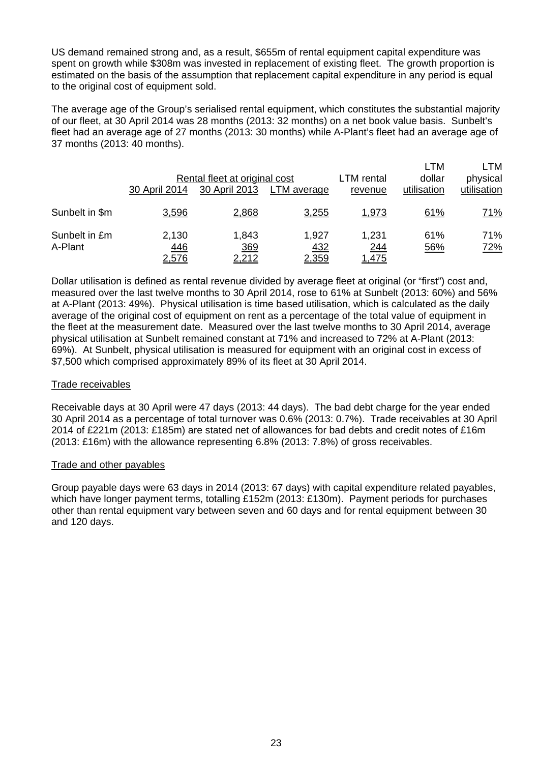US demand remained strong and, as a result, \$655m of rental equipment capital expenditure was spent on growth while \$308m was invested in replacement of existing fleet. The growth proportion is estimated on the basis of the assumption that replacement capital expenditure in any period is equal to the original cost of equipment sold.

The average age of the Group's serialised rental equipment, which constitutes the substantial majority of our fleet, at 30 April 2014 was 28 months (2013: 32 months) on a net book value basis. Sunbelt's fleet had an average age of 27 months (2013: 30 months) while A-Plant's fleet had an average age of 37 months (2013: 40 months).

|                          | 30 April 2014                | Rental fleet at original cost<br>30 April 2013 | LTM average                  | LTM rental<br>revenue        | LTM<br>dollar<br>utilisation | LTM<br>physical<br>utilisation |
|--------------------------|------------------------------|------------------------------------------------|------------------------------|------------------------------|------------------------------|--------------------------------|
| Sunbelt in \$m           | 3,596                        | 2,868                                          | 3,255                        | <u>1,973</u>                 | 61%                          | <u>71%</u>                     |
| Sunbelt in £m<br>A-Plant | 2,130<br>446<br><u>2,576</u> | 1,843<br>369<br><u>2,212</u>                   | 1,927<br><u>432</u><br>2,359 | 1,231<br>244<br><u>1,475</u> | 61%<br>56%                   | 71%<br><u>72%</u>              |

Dollar utilisation is defined as rental revenue divided by average fleet at original (or "first") cost and, measured over the last twelve months to 30 April 2014, rose to 61% at Sunbelt (2013: 60%) and 56% at A-Plant (2013: 49%). Physical utilisation is time based utilisation, which is calculated as the daily average of the original cost of equipment on rent as a percentage of the total value of equipment in the fleet at the measurement date. Measured over the last twelve months to 30 April 2014, average physical utilisation at Sunbelt remained constant at 71% and increased to 72% at A-Plant (2013: 69%). At Sunbelt, physical utilisation is measured for equipment with an original cost in excess of \$7,500 which comprised approximately 89% of its fleet at 30 April 2014.

# Trade receivables

Receivable days at 30 April were 47 days (2013: 44 days). The bad debt charge for the year ended 30 April 2014 as a percentage of total turnover was 0.6% (2013: 0.7%). Trade receivables at 30 April 2014 of £221m (2013: £185m) are stated net of allowances for bad debts and credit notes of £16m (2013: £16m) with the allowance representing 6.8% (2013: 7.8%) of gross receivables.

#### Trade and other payables

Group payable days were 63 days in 2014 (2013: 67 days) with capital expenditure related payables, which have longer payment terms, totalling £152m (2013: £130m). Payment periods for purchases other than rental equipment vary between seven and 60 days and for rental equipment between 30 and 120 days.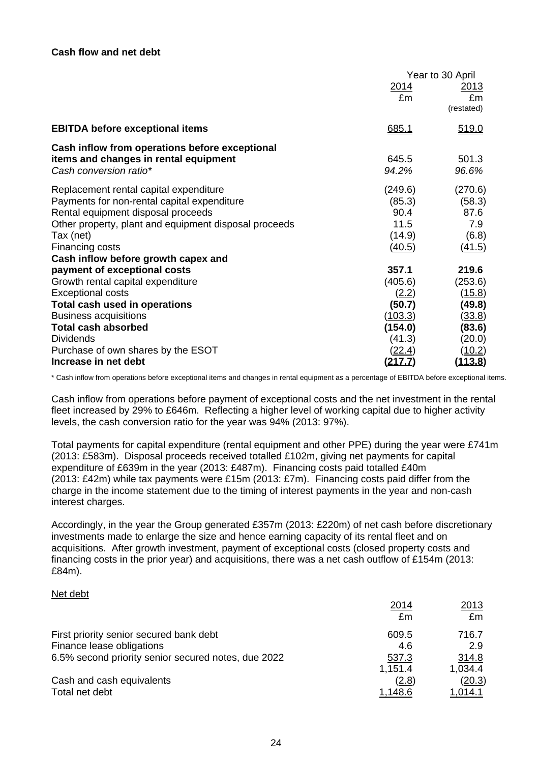|                                                       | Year to 30 April |                |
|-------------------------------------------------------|------------------|----------------|
|                                                       | 2014             | <u> 2013</u>   |
|                                                       | £m               | £m             |
|                                                       |                  | (restated)     |
| <b>EBITDA before exceptional items</b>                | 685.1            | 519.0          |
| Cash inflow from operations before exceptional        |                  |                |
| items and changes in rental equipment                 | 645.5            | 501.3          |
| Cash conversion ratio*                                | 94.2%            | 96.6%          |
| Replacement rental capital expenditure                | (249.6)          | (270.6)        |
| Payments for non-rental capital expenditure           | (85.3)           | (58.3)         |
| Rental equipment disposal proceeds                    | 90.4             | 87.6           |
| Other property, plant and equipment disposal proceeds | 11.5             | 7.9            |
| Tax (net)                                             | (14.9)           | (6.8)          |
| Financing costs                                       | (40.5)           | (41.5)         |
| Cash inflow before growth capex and                   |                  |                |
| payment of exceptional costs                          | 357.1            | 219.6          |
| Growth rental capital expenditure                     | (405.6)          | (253.6)        |
| <b>Exceptional costs</b>                              | (2.2)            | (15.8)         |
| Total cash used in operations                         | (50.7)           | (49.8)         |
| <b>Business acquisitions</b>                          | (103.3)          | (33.8)         |
| <b>Total cash absorbed</b>                            | (154.0)          | (83.6)         |
| <b>Dividends</b>                                      | (41.3)           | (20.0)         |
| Purchase of own shares by the ESOT                    | (22.4)           | (10.2)         |
| Increase in net debt                                  | <u>(217.7)</u>   | <u>(113.8)</u> |

\* Cash inflow from operations before exceptional items and changes in rental equipment as a percentage of EBITDA before exceptional items.

Cash inflow from operations before payment of exceptional costs and the net investment in the rental fleet increased by 29% to £646m. Reflecting a higher level of working capital due to higher activity levels, the cash conversion ratio for the year was 94% (2013: 97%).

Total payments for capital expenditure (rental equipment and other PPE) during the year were £741m (2013: £583m). Disposal proceeds received totalled £102m, giving net payments for capital expenditure of £639m in the year (2013: £487m). Financing costs paid totalled £40m (2013: £42m) while tax payments were £15m (2013: £7m). Financing costs paid differ from the charge in the income statement due to the timing of interest payments in the year and non-cash interest charges.

Accordingly, in the year the Group generated £357m (2013: £220m) of net cash before discretionary investments made to enlarge the size and hence earning capacity of its rental fleet and on acquisitions. After growth investment, payment of exceptional costs (closed property costs and financing costs in the prior year) and acquisitions, there was a net cash outflow of £154m (2013: £84m).

#### Net debt

|                                                     | 2014           | 2013           |
|-----------------------------------------------------|----------------|----------------|
|                                                     | £m             | £m             |
| First priority senior secured bank debt             | 609.5          | 716.7          |
| Finance lease obligations                           | 4.6            | 2.9            |
| 6.5% second priority senior secured notes, due 2022 | 537.3          | 314.8          |
|                                                     | 1,151.4        | 1,034.4        |
| Cash and cash equivalents                           | (2.8)          | (20.3)         |
| Total net debt                                      | <u>1,148.6</u> | <u>1,014.1</u> |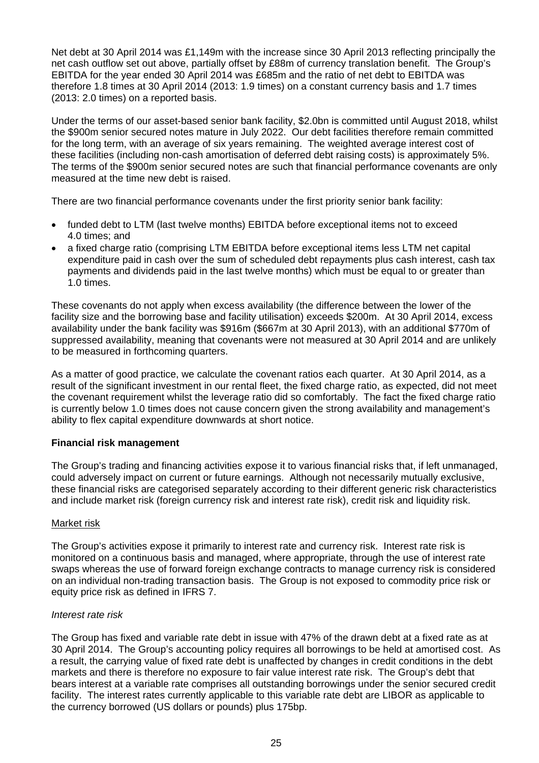Net debt at 30 April 2014 was £1,149m with the increase since 30 April 2013 reflecting principally the net cash outflow set out above, partially offset by £88m of currency translation benefit. The Group's EBITDA for the year ended 30 April 2014 was £685m and the ratio of net debt to EBITDA was therefore 1.8 times at 30 April 2014 (2013: 1.9 times) on a constant currency basis and 1.7 times (2013: 2.0 times) on a reported basis.

Under the terms of our asset-based senior bank facility, \$2.0bn is committed until August 2018, whilst the \$900m senior secured notes mature in July 2022. Our debt facilities therefore remain committed for the long term, with an average of six years remaining. The weighted average interest cost of these facilities (including non-cash amortisation of deferred debt raising costs) is approximately 5%. The terms of the \$900m senior secured notes are such that financial performance covenants are only measured at the time new debt is raised.

There are two financial performance covenants under the first priority senior bank facility:

- funded debt to LTM (last twelve months) EBITDA before exceptional items not to exceed 4.0 times; and
- a fixed charge ratio (comprising LTM EBITDA before exceptional items less LTM net capital expenditure paid in cash over the sum of scheduled debt repayments plus cash interest, cash tax payments and dividends paid in the last twelve months) which must be equal to or greater than 1.0 times.

These covenants do not apply when excess availability (the difference between the lower of the facility size and the borrowing base and facility utilisation) exceeds \$200m. At 30 April 2014, excess availability under the bank facility was \$916m (\$667m at 30 April 2013), with an additional \$770m of suppressed availability, meaning that covenants were not measured at 30 April 2014 and are unlikely to be measured in forthcoming quarters.

As a matter of good practice, we calculate the covenant ratios each quarter. At 30 April 2014, as a result of the significant investment in our rental fleet, the fixed charge ratio, as expected, did not meet the covenant requirement whilst the leverage ratio did so comfortably. The fact the fixed charge ratio is currently below 1.0 times does not cause concern given the strong availability and management's ability to flex capital expenditure downwards at short notice.

# **Financial risk management**

The Group's trading and financing activities expose it to various financial risks that, if left unmanaged, could adversely impact on current or future earnings. Although not necessarily mutually exclusive, these financial risks are categorised separately according to their different generic risk characteristics and include market risk (foreign currency risk and interest rate risk), credit risk and liquidity risk.

# Market risk

The Group's activities expose it primarily to interest rate and currency risk. Interest rate risk is monitored on a continuous basis and managed, where appropriate, through the use of interest rate swaps whereas the use of forward foreign exchange contracts to manage currency risk is considered on an individual non-trading transaction basis. The Group is not exposed to commodity price risk or equity price risk as defined in IFRS 7.

#### *Interest rate risk*

The Group has fixed and variable rate debt in issue with 47% of the drawn debt at a fixed rate as at 30 April 2014. The Group's accounting policy requires all borrowings to be held at amortised cost. As a result, the carrying value of fixed rate debt is unaffected by changes in credit conditions in the debt markets and there is therefore no exposure to fair value interest rate risk. The Group's debt that bears interest at a variable rate comprises all outstanding borrowings under the senior secured credit facility. The interest rates currently applicable to this variable rate debt are LIBOR as applicable to the currency borrowed (US dollars or pounds) plus 175bp.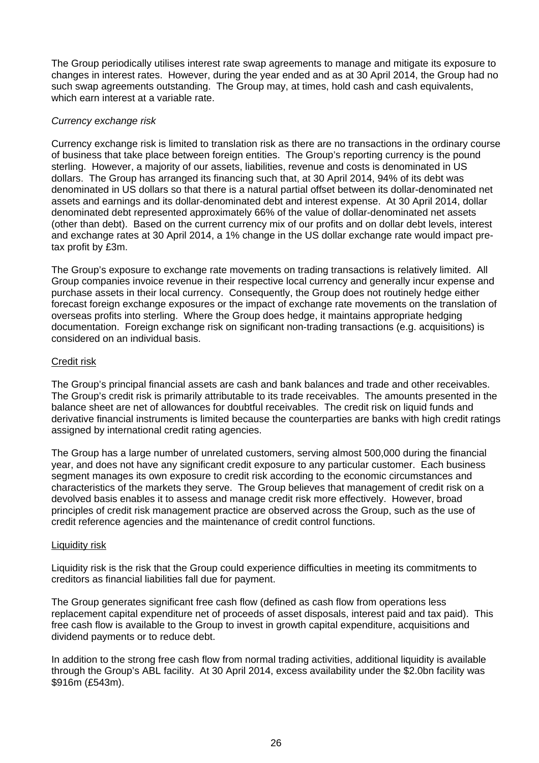The Group periodically utilises interest rate swap agreements to manage and mitigate its exposure to changes in interest rates. However, during the year ended and as at 30 April 2014, the Group had no such swap agreements outstanding. The Group may, at times, hold cash and cash equivalents, which earn interest at a variable rate.

# *Currency exchange risk*

Currency exchange risk is limited to translation risk as there are no transactions in the ordinary course of business that take place between foreign entities. The Group's reporting currency is the pound sterling. However, a majority of our assets, liabilities, revenue and costs is denominated in US dollars. The Group has arranged its financing such that, at 30 April 2014, 94% of its debt was denominated in US dollars so that there is a natural partial offset between its dollar-denominated net assets and earnings and its dollar-denominated debt and interest expense. At 30 April 2014, dollar denominated debt represented approximately 66% of the value of dollar-denominated net assets (other than debt). Based on the current currency mix of our profits and on dollar debt levels, interest and exchange rates at 30 April 2014, a 1% change in the US dollar exchange rate would impact pretax profit by £3m.

The Group's exposure to exchange rate movements on trading transactions is relatively limited. All Group companies invoice revenue in their respective local currency and generally incur expense and purchase assets in their local currency. Consequently, the Group does not routinely hedge either forecast foreign exchange exposures or the impact of exchange rate movements on the translation of overseas profits into sterling. Where the Group does hedge, it maintains appropriate hedging documentation. Foreign exchange risk on significant non-trading transactions (e.g. acquisitions) is considered on an individual basis.

### Credit risk

The Group's principal financial assets are cash and bank balances and trade and other receivables. The Group's credit risk is primarily attributable to its trade receivables. The amounts presented in the balance sheet are net of allowances for doubtful receivables. The credit risk on liquid funds and derivative financial instruments is limited because the counterparties are banks with high credit ratings assigned by international credit rating agencies.

The Group has a large number of unrelated customers, serving almost 500,000 during the financial year, and does not have any significant credit exposure to any particular customer. Each business segment manages its own exposure to credit risk according to the economic circumstances and characteristics of the markets they serve. The Group believes that management of credit risk on a devolved basis enables it to assess and manage credit risk more effectively. However, broad principles of credit risk management practice are observed across the Group, such as the use of credit reference agencies and the maintenance of credit control functions.

#### Liquidity risk

Liquidity risk is the risk that the Group could experience difficulties in meeting its commitments to creditors as financial liabilities fall due for payment.

The Group generates significant free cash flow (defined as cash flow from operations less replacement capital expenditure net of proceeds of asset disposals, interest paid and tax paid). This free cash flow is available to the Group to invest in growth capital expenditure, acquisitions and dividend payments or to reduce debt.

In addition to the strong free cash flow from normal trading activities, additional liquidity is available through the Group's ABL facility. At 30 April 2014, excess availability under the \$2.0bn facility was \$916m (£543m).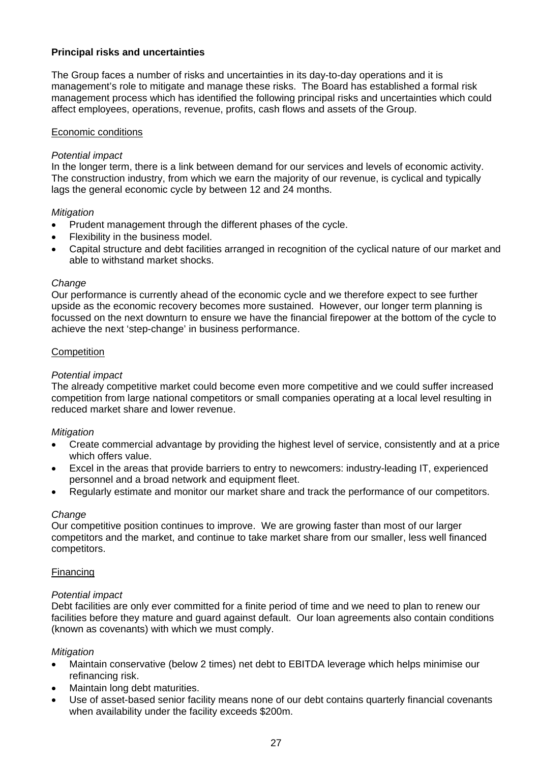# **Principal risks and uncertainties**

The Group faces a number of risks and uncertainties in its day-to-day operations and it is management's role to mitigate and manage these risks. The Board has established a formal risk management process which has identified the following principal risks and uncertainties which could affect employees, operations, revenue, profits, cash flows and assets of the Group.

# Economic conditions

# *Potential impact*

In the longer term, there is a link between demand for our services and levels of economic activity. The construction industry, from which we earn the majority of our revenue, is cyclical and typically lags the general economic cycle by between 12 and 24 months.

### *Mitigation*

- Prudent management through the different phases of the cycle.
- Flexibility in the business model.
- Capital structure and debt facilities arranged in recognition of the cyclical nature of our market and able to withstand market shocks.

### *Change*

Our performance is currently ahead of the economic cycle and we therefore expect to see further upside as the economic recovery becomes more sustained. However, our longer term planning is focussed on the next downturn to ensure we have the financial firepower at the bottom of the cycle to achieve the next 'step-change' in business performance.

### **Competition**

# *Potential impact*

The already competitive market could become even more competitive and we could suffer increased competition from large national competitors or small companies operating at a local level resulting in reduced market share and lower revenue.

# *Mitigation*

- Create commercial advantage by providing the highest level of service, consistently and at a price which offers value.
- Excel in the areas that provide barriers to entry to newcomers: industry-leading IT, experienced personnel and a broad network and equipment fleet.
- Regularly estimate and monitor our market share and track the performance of our competitors.

#### *Change*

Our competitive position continues to improve. We are growing faster than most of our larger competitors and the market, and continue to take market share from our smaller, less well financed competitors.

#### Financing

#### *Potential impact*

Debt facilities are only ever committed for a finite period of time and we need to plan to renew our facilities before they mature and guard against default. Our loan agreements also contain conditions (known as covenants) with which we must comply.

#### *Mitigation*

- Maintain conservative (below 2 times) net debt to EBITDA leverage which helps minimise our refinancing risk.
- Maintain long debt maturities.
- Use of asset-based senior facility means none of our debt contains quarterly financial covenants when availability under the facility exceeds \$200m.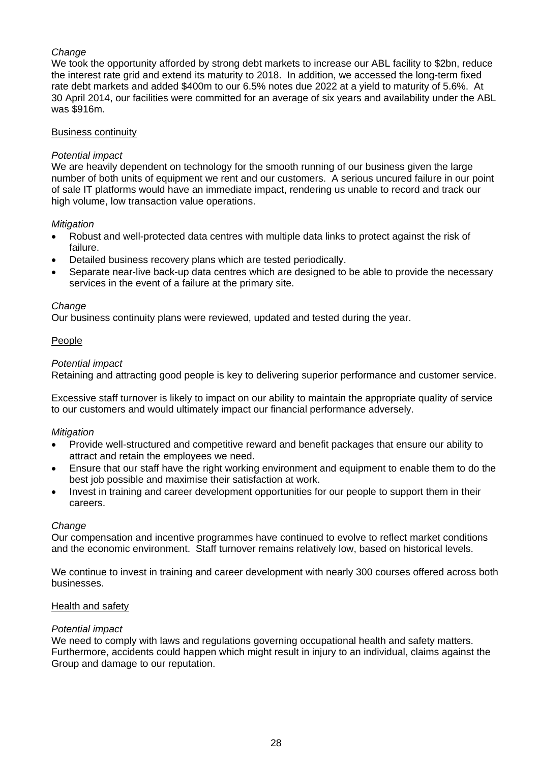# *Change*

We took the opportunity afforded by strong debt markets to increase our ABL facility to \$2bn, reduce the interest rate grid and extend its maturity to 2018. In addition, we accessed the long-term fixed rate debt markets and added \$400m to our 6.5% notes due 2022 at a yield to maturity of 5.6%. At 30 April 2014, our facilities were committed for an average of six years and availability under the ABL was \$916m.

# Business continuity

# *Potential impact*

We are heavily dependent on technology for the smooth running of our business given the large number of both units of equipment we rent and our customers. A serious uncured failure in our point of sale IT platforms would have an immediate impact, rendering us unable to record and track our high volume, low transaction value operations.

### *Mitigation*

- Robust and well-protected data centres with multiple data links to protect against the risk of failure.
- Detailed business recovery plans which are tested periodically.
- Separate near-live back-up data centres which are designed to be able to provide the necessary services in the event of a failure at the primary site.

### *Change*

Our business continuity plans were reviewed, updated and tested during the year.

# People

### *Potential impact*

Retaining and attracting good people is key to delivering superior performance and customer service.

Excessive staff turnover is likely to impact on our ability to maintain the appropriate quality of service to our customers and would ultimately impact our financial performance adversely.

#### *Mitigation*

- Provide well-structured and competitive reward and benefit packages that ensure our ability to attract and retain the employees we need.
- Ensure that our staff have the right working environment and equipment to enable them to do the best job possible and maximise their satisfaction at work.
- Invest in training and career development opportunities for our people to support them in their careers.

#### *Change*

Our compensation and incentive programmes have continued to evolve to reflect market conditions and the economic environment. Staff turnover remains relatively low, based on historical levels.

We continue to invest in training and career development with nearly 300 courses offered across both businesses.

#### Health and safety

#### *Potential impact*

We need to comply with laws and regulations governing occupational health and safety matters. Furthermore, accidents could happen which might result in injury to an individual, claims against the Group and damage to our reputation.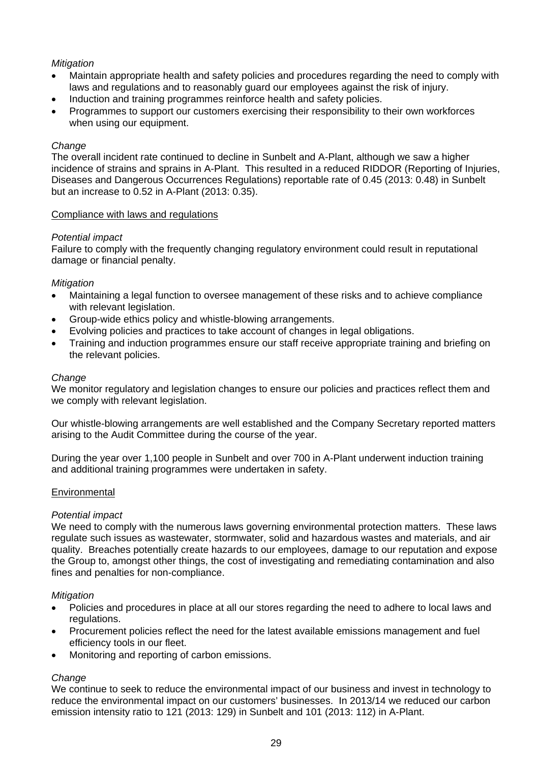# *Mitigation*

- Maintain appropriate health and safety policies and procedures regarding the need to comply with laws and regulations and to reasonably guard our employees against the risk of injury.
- Induction and training programmes reinforce health and safety policies.
- Programmes to support our customers exercising their responsibility to their own workforces when using our equipment.

#### *Change*

The overall incident rate continued to decline in Sunbelt and A-Plant, although we saw a higher incidence of strains and sprains in A-Plant. This resulted in a reduced RIDDOR (Reporting of Injuries, Diseases and Dangerous Occurrences Regulations) reportable rate of 0.45 (2013: 0.48) in Sunbelt but an increase to 0.52 in A-Plant (2013: 0.35).

#### Compliance with laws and regulations

### *Potential impact*

Failure to comply with the frequently changing regulatory environment could result in reputational damage or financial penalty.

### *Mitigation*

- Maintaining a legal function to oversee management of these risks and to achieve compliance with relevant legislation.
- Group-wide ethics policy and whistle-blowing arrangements.
- Evolving policies and practices to take account of changes in legal obligations.
- Training and induction programmes ensure our staff receive appropriate training and briefing on the relevant policies.

#### *Change*

We monitor regulatory and legislation changes to ensure our policies and practices reflect them and we comply with relevant legislation.

Our whistle-blowing arrangements are well established and the Company Secretary reported matters arising to the Audit Committee during the course of the year.

During the year over 1,100 people in Sunbelt and over 700 in A-Plant underwent induction training and additional training programmes were undertaken in safety.

#### **Environmental**

#### *Potential impact*

We need to comply with the numerous laws governing environmental protection matters. These laws regulate such issues as wastewater, stormwater, solid and hazardous wastes and materials, and air quality. Breaches potentially create hazards to our employees, damage to our reputation and expose the Group to, amongst other things, the cost of investigating and remediating contamination and also fines and penalties for non-compliance.

#### *Mitigation*

- Policies and procedures in place at all our stores regarding the need to adhere to local laws and regulations.
- Procurement policies reflect the need for the latest available emissions management and fuel efficiency tools in our fleet.
- Monitoring and reporting of carbon emissions.

# *Change*

We continue to seek to reduce the environmental impact of our business and invest in technology to reduce the environmental impact on our customers' businesses. In 2013/14 we reduced our carbon emission intensity ratio to 121 (2013: 129) in Sunbelt and 101 (2013: 112) in A-Plant.